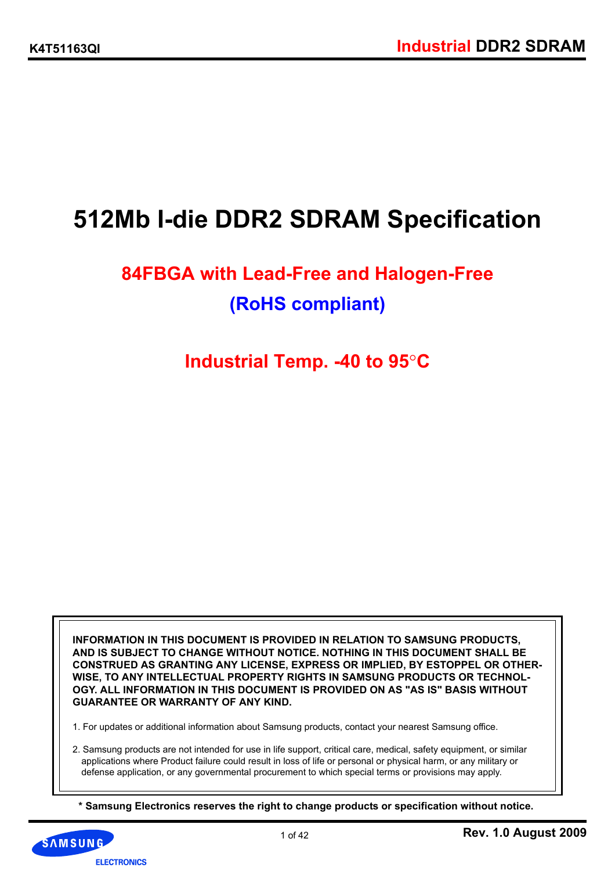# **512Mb I-die DDR2 SDRAM Specification**

# **84FBGA with Lead-Free and Halogen-Free (RoHS compliant)**

## **Industrial Temp. -40 to 95**°**C**

**INFORMATION IN THIS DOCUMENT IS PROVIDED IN RELATION TO SAMSUNG PRODUCTS, AND IS SUBJECT TO CHANGE WITHOUT NOTICE. NOTHING IN THIS DOCUMENT SHALL BE CONSTRUED AS GRANTING ANY LICENSE, EXPRESS OR IMPLIED, BY ESTOPPEL OR OTHER-WISE, TO ANY INTELLECTUAL PROPERTY RIGHTS IN SAMSUNG PRODUCTS OR TECHNOL-OGY. ALL INFORMATION IN THIS DOCUMENT IS PROVIDED ON AS "AS IS" BASIS WITHOUT GUARANTEE OR WARRANTY OF ANY KIND.**

1. For updates or additional information about Samsung products, contact your nearest Samsung office.

2. Samsung products are not intended for use in life support, critical care, medical, safety equipment, or similar applications where Product failure could result in loss of life or personal or physical harm, or any military or defense application, or any governmental procurement to which special terms or provisions may apply.

**\* Samsung Electronics reserves the right to change products or specification without notice.** 

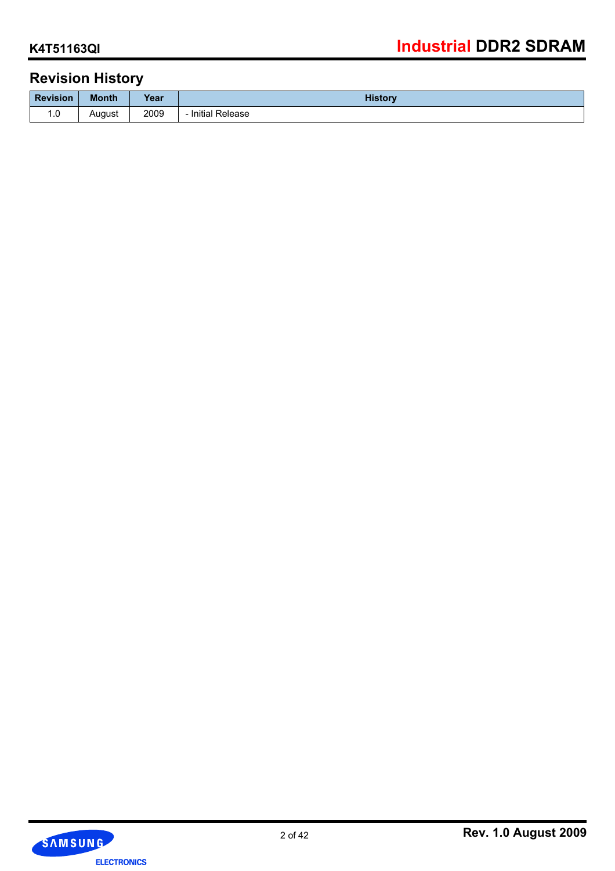## **Revision History**

|                 |              | -    |                 |
|-----------------|--------------|------|-----------------|
| <b>Revision</b> | <b>Month</b> | Year | <b>History</b>  |
| 1. U            | August       | 2009 | Initial Release |

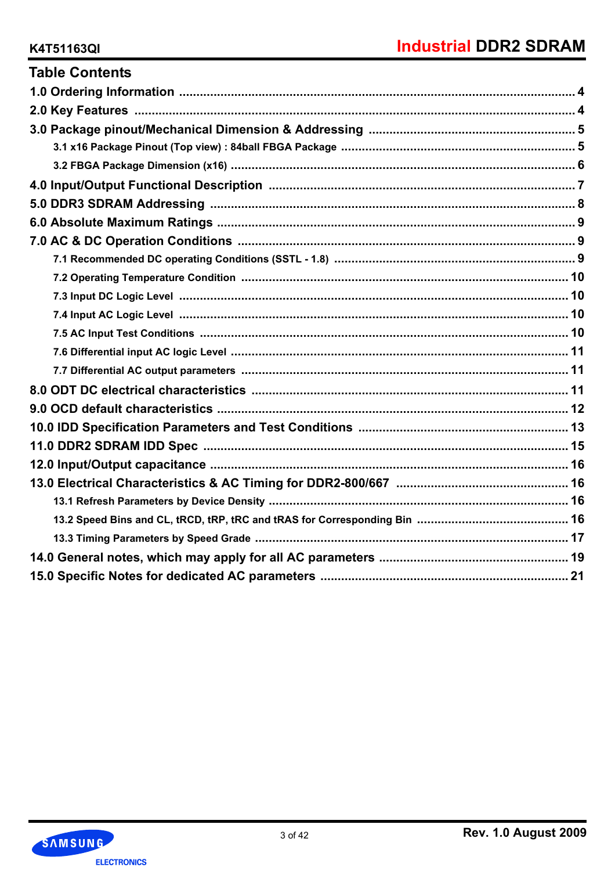| <b>Table Contents</b> |
|-----------------------|
|                       |
|                       |
|                       |
|                       |
|                       |
|                       |
|                       |
|                       |
|                       |
|                       |
|                       |
|                       |
|                       |
|                       |
|                       |
|                       |
|                       |
|                       |
|                       |
|                       |
|                       |
|                       |
|                       |
|                       |
|                       |
|                       |
|                       |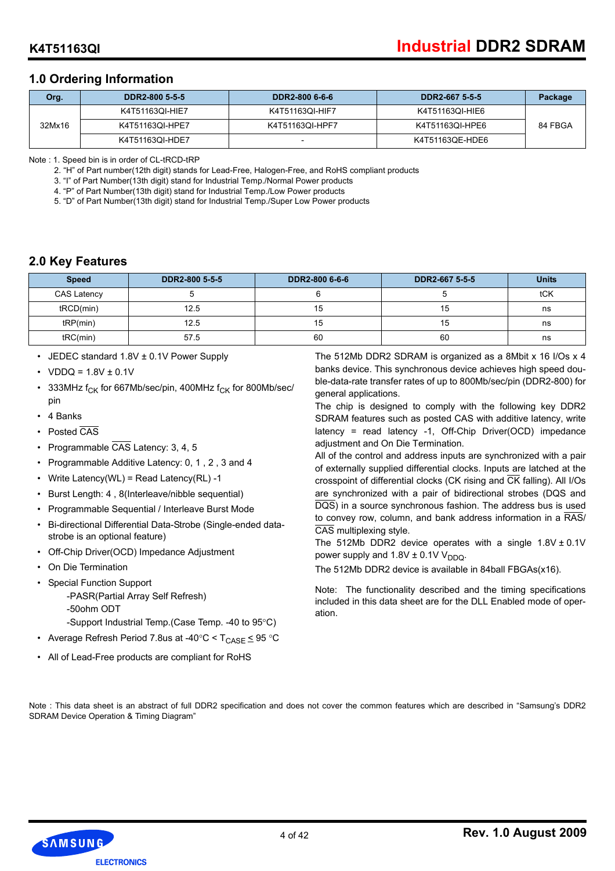## **1.0 Ordering Information**

| Org.   | DDR2-800 5-5-5  | DDR2-800 6-6-6  | DDR2-667 5-5-5  | Package |
|--------|-----------------|-----------------|-----------------|---------|
| 32Mx16 | K4T51163QI-HIE7 | K4T51163QI-HIF7 | K4T51163QI-HIE6 |         |
|        | K4T51163QI-HPE7 | K4T51163QI-HPF7 | K4T51163QI-HPE6 | 84 FBGA |
|        | K4T51163QI-HDE7 |                 | K4T51163QE-HDE6 |         |

Note : 1. Speed bin is in order of CL-tRCD-tRP

2. "H" of Part number(12th digit) stands for Lead-Free, Halogen-Free, and RoHS compliant products

3. "I" of Part Number(13th digit) stand for Industrial Temp./Normal Power products

4. "P" of Part Number(13th digit) stand for Industrial Temp./Low Power products

5. "D" of Part Number(13th digit) stand for Industrial Temp./Super Low Power products

## **2.0 Key Features**

| <b>Speed</b>       | DDR2-800 5-5-5 | DDR2-800 6-6-6 | DDR2-667 5-5-5 | <b>Units</b> |
|--------------------|----------------|----------------|----------------|--------------|
| <b>CAS Latency</b> |                |                |                | tCK          |
| tRCD(min)          | 12.5           | 15             | 15             | ns           |
| tRP(min)           | 12.5           | 15             | 15             | ns           |
| tRC(min)           | 57.5           | 60             | 60             | ns           |

- JEDEC standard 1.8V ± 0.1V Power Supply
- VDDQ =  $1.8V \pm 0.1V$
- 333MHz  $f_{CK}$  for 667Mb/sec/pin, 400MHz  $f_{CK}$  for 800Mb/sec/ pin
- 4 Banks
- Posted CAS
- Programmable CAS Latency: 3, 4, 5
- Programmable Additive Latency: 0, 1 , 2 , 3 and 4
- Write Latency(WL) = Read Latency(RL) -1
- Burst Length: 4 , 8(Interleave/nibble sequential)
- Programmable Sequential / Interleave Burst Mode
- Bi-directional Differential Data-Strobe (Single-ended datastrobe is an optional feature)
- Off-Chip Driver(OCD) Impedance Adjustment
- On Die Termination
- Special Function Support
	- -PASR(Partial Array Self Refresh) -50ohm ODT
		- -Support Industrial Temp.(Case Temp. -40 to 95°C)
- Average Refresh Period 7.8us at -40°C <  $T_{\text{CASE}}$   $\leq$  95 °C
- All of Lead-Free products are compliant for RoHS

The 512Mb DDR2 SDRAM is organized as a 8Mbit x 16 I/Os x 4 banks device. This synchronous device achieves high speed double-data-rate transfer rates of up to 800Mb/sec/pin (DDR2-800) for general applications.

The chip is designed to comply with the following key DDR2 SDRAM features such as posted CAS with additive latency, write latency = read latency -1, Off-Chip Driver(OCD) impedance adjustment and On Die Termination.

All of the control and address inputs are synchronized with a pair of externally supplied differential clocks. Inputs are latched at the crosspoint of differential clocks (CK rising and CK falling). All I/Os are synchronized with a pair of bidirectional strobes (DQS and DQS) in a source synchronous fashion. The address bus is used to convey row, column, and bank address information in a  $\overline{\text{RAS}}$ / CAS multiplexing style.

The 512Mb DDR2 device operates with a single  $1.8V \pm 0.1V$ power supply and  $1.8V \pm 0.1V V_{DDQ}$ .

The 512Mb DDR2 device is available in 84ball FBGAs(x16).

Note: The functionality described and the timing specifications included in this data sheet are for the DLL Enabled mode of operation.

Note : This data sheet is an abstract of full DDR2 specification and does not cover the common features which are described in "Samsung's DDR2 SDRAM Device Operation & Timing Diagram"

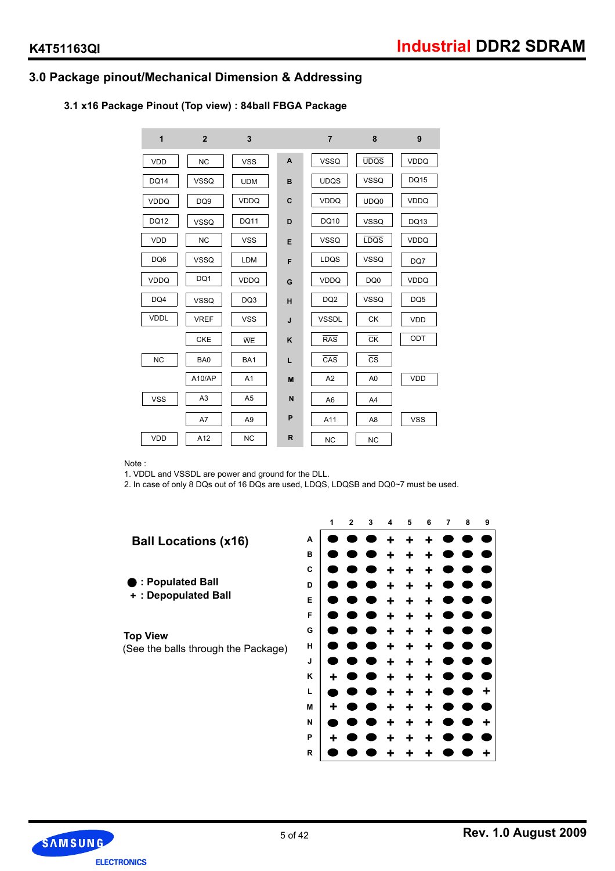## **3.0 Package pinout/Mechanical Dimension & Addressing**

## **3.1 x16 Package Pinout (Top view) : 84ball FBGA Package**

| 1           | $\mathbf{2}$    | 3               |             | $\overline{7}$          | 8                      | 9               |
|-------------|-----------------|-----------------|-------------|-------------------------|------------------------|-----------------|
| <b>VDD</b>  | <b>NC</b>       | <b>VSS</b>      | A           | <b>VSSQ</b>             | <b>UDQS</b>            | VDDQ            |
| <b>DQ14</b> | <b>VSSQ</b>     | <b>UDM</b>      | B           | <b>UDQS</b>             | <b>VSSQ</b>            | <b>DQ15</b>     |
| <b>VDDQ</b> | DQ <sub>9</sub> | <b>VDDQ</b>     | $\mathbf c$ | <b>VDDQ</b>             | UDQ0                   | <b>VDDQ</b>     |
| <b>DQ12</b> | <b>VSSQ</b>     | <b>DQ11</b>     | D           | DQ10                    | <b>VSSQ</b>            | DQ13            |
| <b>VDD</b>  | <b>NC</b>       | <b>VSS</b>      | E           | <b>VSSQ</b>             | <b>LDQS</b>            | <b>VDDQ</b>     |
| DQ6         | <b>VSSQ</b>     | LDM             | F           | LDQS                    | <b>VSSQ</b>            | DQ7             |
| <b>VDDQ</b> | DQ1             | <b>VDDQ</b>     | G           | <b>VDDQ</b>             | DQ0                    | <b>VDDQ</b>     |
| DQ4         | <b>VSSQ</b>     | DQ3             | н           | DQ <sub>2</sub>         | <b>VSSQ</b>            | DQ <sub>5</sub> |
| <b>VDDL</b> | <b>VREF</b>     | <b>VSS</b>      | J           | <b>VSSDL</b>            | СK                     | <b>VDD</b>      |
|             | <b>CKE</b>      | WE              | K           | <b>RAS</b>              | CR                     | ODT             |
| <b>NC</b>   | BA0             | BA <sub>1</sub> | L           | $\overline{\text{CAS}}$ | $\overline{\text{cs}}$ |                 |
|             | A10/AP          | A <sub>1</sub>  | M           | A <sub>2</sub>          | A <sub>0</sub>         | <b>VDD</b>      |
| <b>VSS</b>  | A <sub>3</sub>  | A <sub>5</sub>  | N           | A <sub>6</sub>          | A <sub>4</sub>         |                 |
|             | A7              | A9              | P           | A11                     | A8                     | <b>VSS</b>      |
| VDD         | A12             | <b>NC</b>       | R           | <b>NC</b>               | <b>NC</b>              |                 |

Note :

1. VDDL and VSSDL are power and ground for the DLL.

2. In case of only 8 DQs out of 16 DQs are used, LDQS, LDQSB and DQ0~7 must be used.





**R**

**+**

**+**

**+**

**+**

**+**

**+**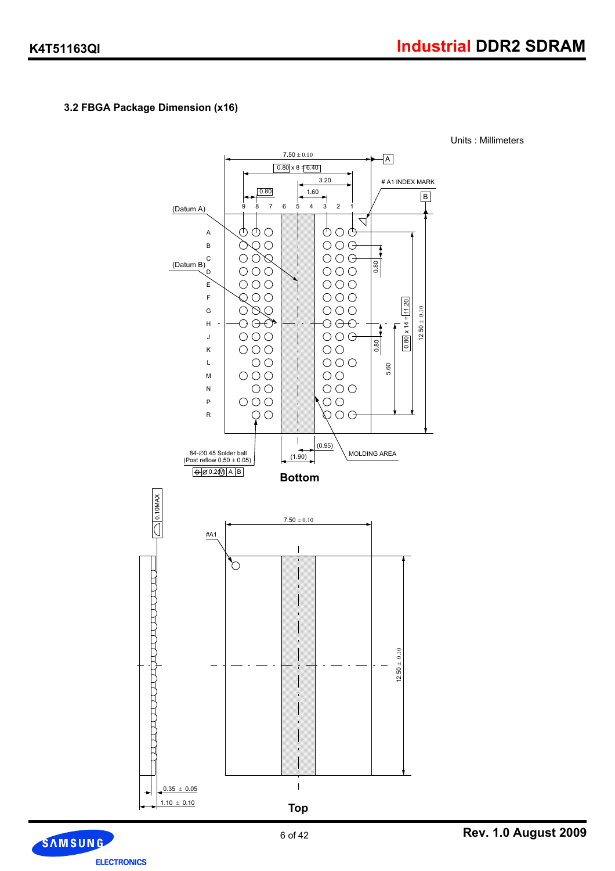Units : Millimeters

## **3.2 FBGA Package Dimension (x16)**



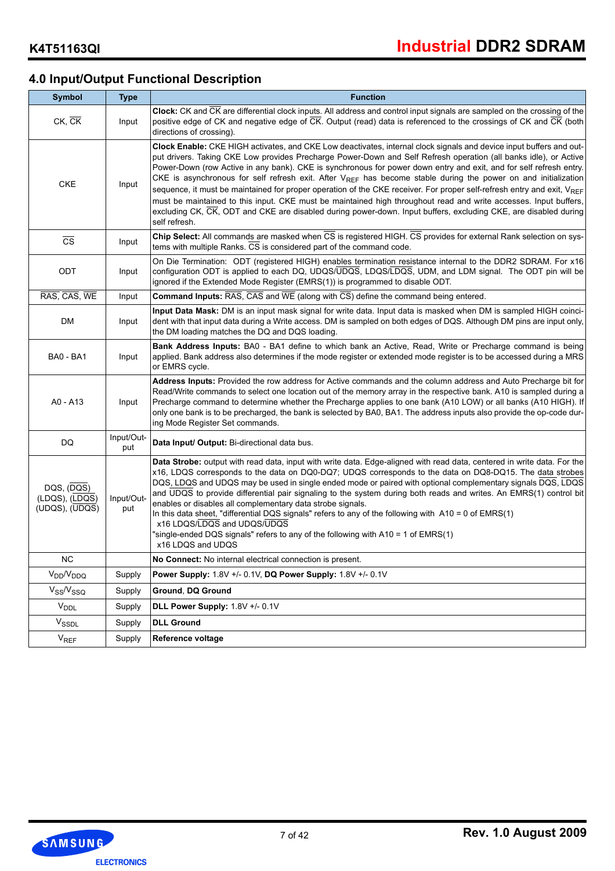## **4.0 Input/Output Functional Description**

| <b>Symbol</b>                                                    | <b>Type</b>       | <b>Function</b>                                                                                                                                                                                                                                                                                                                                                                                                                                                                                                                                                                                                                                                                                                                                                                                                                                                                    |
|------------------------------------------------------------------|-------------------|------------------------------------------------------------------------------------------------------------------------------------------------------------------------------------------------------------------------------------------------------------------------------------------------------------------------------------------------------------------------------------------------------------------------------------------------------------------------------------------------------------------------------------------------------------------------------------------------------------------------------------------------------------------------------------------------------------------------------------------------------------------------------------------------------------------------------------------------------------------------------------|
| $CK$ , $CK$                                                      | Input             | Clock: CK and CK are differential clock inputs. All address and control input signals are sampled on the crossing of the<br>positive edge of CK and negative edge of CK. Output (read) data is referenced to the crossings of CK and CK (both<br>directions of crossing).                                                                                                                                                                                                                                                                                                                                                                                                                                                                                                                                                                                                          |
| <b>CKE</b>                                                       | Input             | Clock Enable: CKE HIGH activates, and CKE Low deactivates, internal clock signals and device input buffers and out-<br>put drivers. Taking CKE Low provides Precharge Power-Down and Self Refresh operation (all banks idle), or Active<br>Power-Down (row Active in any bank). CKE is synchronous for power down entry and exit, and for self refresh entry.<br>CKE is asynchronous for self refresh exit. After $V_{REF}$ has become stable during the power on and initialization<br>sequence, it must be maintained for proper operation of the CKE receiver. For proper self-refresh entry and exit, V <sub>REF</sub><br>must be maintained to this input. CKE must be maintained high throughout read and write accesses. Input buffers,<br>excluding CK, CK, ODT and CKE are disabled during power-down. Input buffers, excluding CKE, are disabled during<br>self refresh. |
| $\overline{\text{cs}}$                                           | Input             | Chip Select: All commands are masked when CS is registered HIGH. CS provides for external Rank selection on sys-<br>tems with multiple Ranks. CS is considered part of the command code.                                                                                                                                                                                                                                                                                                                                                                                                                                                                                                                                                                                                                                                                                           |
| ODT                                                              | Input             | On Die Termination: ODT (registered HIGH) enables termination resistance internal to the DDR2 SDRAM. For x16<br>configuration ODT is applied to each DQ, UDQS/UDQS, LDQS/LDQS, UDM, and LDM signal. The ODT pin will be<br>ignored if the Extended Mode Register (EMRS(1)) is programmed to disable ODT.                                                                                                                                                                                                                                                                                                                                                                                                                                                                                                                                                                           |
| RAS, CAS, WE                                                     | Input             | <b>Command Inputs:</b> $\overline{RAS}$ , $\overline{CAS}$ and $\overline{WE}$ (along with $\overline{CS}$ ) define the command being entered.                                                                                                                                                                                                                                                                                                                                                                                                                                                                                                                                                                                                                                                                                                                                     |
| DM                                                               | Input             | Input Data Mask: DM is an input mask signal for write data. Input data is masked when DM is sampled HIGH coinci-<br>dent with that input data during a Write access. DM is sampled on both edges of DQS. Although DM pins are input only,<br>the DM loading matches the DQ and DQS loading.                                                                                                                                                                                                                                                                                                                                                                                                                                                                                                                                                                                        |
| <b>BA0 - BA1</b>                                                 | Input             | Bank Address Inputs: BA0 - BA1 define to which bank an Active, Read, Write or Precharge command is being<br>applied. Bank address also determines if the mode register or extended mode register is to be accessed during a MRS<br>or EMRS cycle.                                                                                                                                                                                                                                                                                                                                                                                                                                                                                                                                                                                                                                  |
| A0 - A13                                                         | Input             | Address Inputs: Provided the row address for Active commands and the column address and Auto Precharge bit for<br>Read/Write commands to select one location out of the memory array in the respective bank. A10 is sampled during a<br>Precharge command to determine whether the Precharge applies to one bank (A10 LOW) or all banks (A10 HIGH). If<br>only one bank is to be precharged, the bank is selected by BA0, BA1. The address inputs also provide the op-code dur-<br>ing Mode Register Set commands.                                                                                                                                                                                                                                                                                                                                                                 |
| DQ                                                               | Input/Out-<br>put | Data Input/ Output: Bi-directional data bus.                                                                                                                                                                                                                                                                                                                                                                                                                                                                                                                                                                                                                                                                                                                                                                                                                                       |
| DQS, (DQS)<br>$(LDQS)$ , $(LDQS)$<br>$(UDQS), (\overline{UDQS})$ | Input/Out-<br>put | Data Strobe: output with read data, input with write data. Edge-aligned with read data, centered in write data. For the<br>x16, LDQS corresponds to the data on DQ0-DQ7; UDQS corresponds to the data on DQ8-DQ15. The data strobes<br>DQS, LDQS and UDQS may be used in single ended mode or paired with optional complementary signals DQS, LDQS<br>and UDQS to provide differential pair signaling to the system during both reads and writes. An EMRS(1) control bit<br>enables or disables all complementary data strobe signals.<br>In this data sheet, "differential DQS signals" refers to any of the following with A10 = 0 of EMRS(1)<br>x16 LDQS/LDQS and UDQS/UDQS<br>"single-ended DQS signals" refers to any of the following with A10 = 1 of EMRS(1)<br>x16 LDQS and UDQS                                                                                           |
| NC                                                               |                   | No Connect: No internal electrical connection is present.                                                                                                                                                                                                                                                                                                                                                                                                                                                                                                                                                                                                                                                                                                                                                                                                                          |
| V <sub>DD</sub> /V <sub>DDQ</sub>                                | Supply            | Power Supply: 1.8V +/- 0.1V, DQ Power Supply: 1.8V +/- 0.1V                                                                                                                                                                                                                                                                                                                                                                                                                                                                                                                                                                                                                                                                                                                                                                                                                        |
| $V_{SS}/V_{SSQ}$                                                 | Supply            | Ground, DQ Ground                                                                                                                                                                                                                                                                                                                                                                                                                                                                                                                                                                                                                                                                                                                                                                                                                                                                  |
| $V_{\text{DDL}}$                                                 | Supply            | DLL Power Supply: 1.8V +/- 0.1V                                                                                                                                                                                                                                                                                                                                                                                                                                                                                                                                                                                                                                                                                                                                                                                                                                                    |
| $V_{\text{SSDL}}$                                                | Supply            | <b>DLL Ground</b>                                                                                                                                                                                                                                                                                                                                                                                                                                                                                                                                                                                                                                                                                                                                                                                                                                                                  |
| $V_{REF}$                                                        | Supply            | Reference voltage                                                                                                                                                                                                                                                                                                                                                                                                                                                                                                                                                                                                                                                                                                                                                                                                                                                                  |

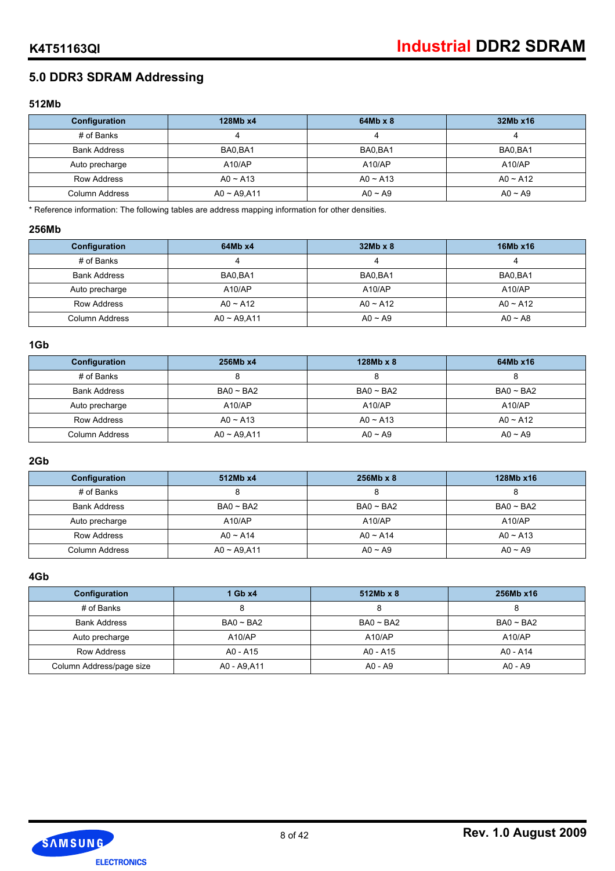## **5.0 DDR3 SDRAM Addressing**

#### **512Mb**

| Configuration       | 128Mb x4       | $64Mb \times 8$ | 32Mb x16     |
|---------------------|----------------|-----------------|--------------|
| # of Banks          |                |                 |              |
| <b>Bank Address</b> | BA0.BA1        | BA0.BA1         | BA0.BA1      |
| Auto precharge      | A10/AP         | A10/AP          | A10/AP       |
| Row Address         | $AO \sim A13$  | $AO \sim A13$   | $AO - A12$   |
| Column Address      | $AO - A9, A11$ | $AO \sim A9$    | $AO \sim A9$ |

\* Reference information: The following tables are address mapping information for other densities.

#### **256Mb**

| Configuration       | 64Mb x4        | $32Mb \times 8$ | 16Mb x16      |
|---------------------|----------------|-----------------|---------------|
| # of Banks          |                | 4               |               |
| <b>Bank Address</b> | BA0.BA1        | BA0.BA1         | BA0.BA1       |
| Auto precharge      | A10/AP         | A10/AP          | A10/AP        |
| <b>Row Address</b>  | $AO \sim A12$  | $AO \sim A12$   | $AO \sim A12$ |
| Column Address      | $AO - A9, A11$ | $AO \sim A9$    | $AO \sim AB$  |

### **1Gb**

| Configuration       | 256Mb x4       | $128Mb \times 8$ | 64Mb x16       |
|---------------------|----------------|------------------|----------------|
| # of Banks          |                |                  |                |
| <b>Bank Address</b> | $BA0 \sim BA2$ | $BA0 \sim BA2$   | $BA0 \sim BA2$ |
| Auto precharge      | A10/AP         | A10/AP           | A10/AP         |
| <b>Row Address</b>  | $AO \sim A13$  | $AO \sim A13$    | $AO \sim A12$  |
| Column Address      | $AO - A9, A11$ | $AO \sim A9$     | $AO \sim A9$   |

## **2Gb**

| Configuration       | 512Mb x4       | $256Mb \times 8$ | 128Mb x16      |
|---------------------|----------------|------------------|----------------|
| # of Banks          | О              |                  |                |
| <b>Bank Address</b> | $BA0 \sim BA2$ | $BA0 \sim BA2$   | $BA0 \sim BA2$ |
| Auto precharge      | A10/AP         | A10/AP           | A10/AP         |
| Row Address         | $AO \sim A14$  | $AO \sim A14$    | $AO \sim A13$  |
| Column Address      | $AO - A9, A11$ | $AO \sim A9$     | $AO \sim A9$   |

#### **4Gb**

| Configuration            | $1$ Gb $x4$    | $512Mb \times 8$ | 256Mb x16      |
|--------------------------|----------------|------------------|----------------|
| # of Banks               |                |                  |                |
| <b>Bank Address</b>      | $BA0 \sim BA2$ | $BA0 \sim BA2$   | $BA0 \sim BA2$ |
| Auto precharge           | A10/AP         | A10/AP           | A10/AP         |
| Row Address              | A0 - A15       | A0 - A15         | A0 - A14       |
| Column Address/page size | A0 - A9,A11    | $AO - A9$        | $AO - A9$      |

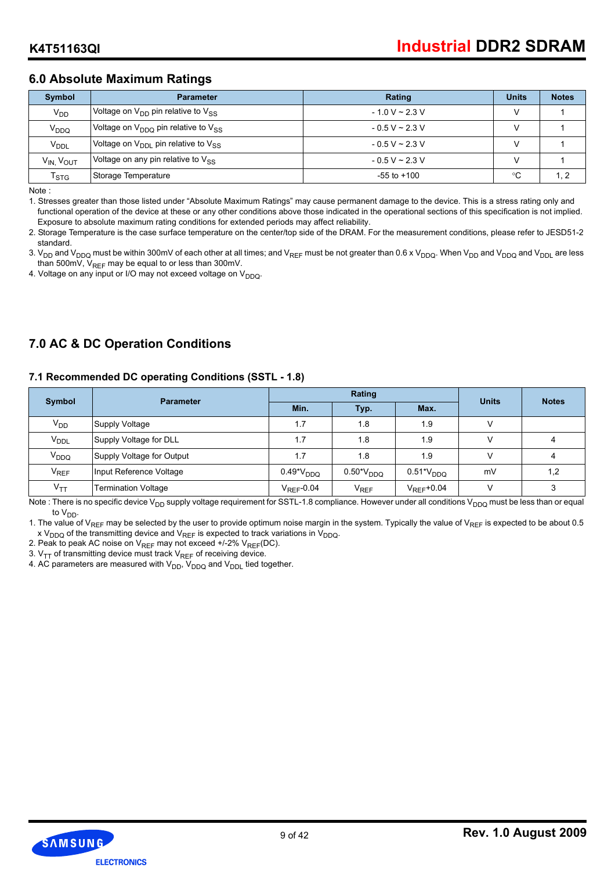## **6.0 Absolute Maximum Ratings**

| Symbol                            | <b>Parameter</b>                                            | Rating              | <b>Units</b> | <b>Notes</b> |
|-----------------------------------|-------------------------------------------------------------|---------------------|--------------|--------------|
| V <sub>DD</sub>                   | Voltage on $V_{DD}$ pin relative to $V_{SS}$                | $-1.0$ V ~ 2.3 V    |              |              |
| V <sub>DDQ</sub>                  | Voltage on V <sub>DDQ</sub> pin relative to V <sub>SS</sub> | $-0.5$ V ~ 2.3 V    |              |              |
| <b>V<sub>DDL</sub></b>            | Voltage on $V_{\text{DDI}}$ pin relative to $V_{SS}$        | $-0.5$ V ~ 2.3 V    |              |              |
| V <sub>IN,</sub> V <sub>OUT</sub> | Voltage on any pin relative to $V_{SS}$                     | $-0.5 V \sim 2.3 V$ |              |              |
| $\mathsf{T}_{\textsf{STG}}$       | Storage Temperature                                         | $-55$ to $+100$     | °C           | $\cdot$ 2    |

Note :

1. Stresses greater than those listed under "Absolute Maximum Ratings" may cause permanent damage to the device. This is a stress rating only and functional operation of the device at these or any other conditions above those indicated in the operational sections of this specification is not implied. Exposure to absolute maximum rating conditions for extended periods may affect reliability.

2. Storage Temperature is the case surface temperature on the center/top side of the DRAM. For the measurement conditions, please refer to JESD51-2 standard.

3. V<sub>DD</sub> and V<sub>DDQ</sub> must be within 300mV of each other at all times; and V<sub>REF</sub> must be not greater than 0.6 x V<sub>DDQ</sub>. When V<sub>DD</sub> and V<sub>DDQ</sub> and V<sub>DDL</sub> are less than 500mV,  $V_{REF}$  may be equal to or less than 300mV.

4. Voltage on any input or I/O may not exceed voltage on  $V_{DDQ}$ .

## **7.0 AC & DC Operation Conditions**

#### **7.1 Recommended DC operating Conditions (SSTL - 1.8)**

| <b>Symbol</b>          | <b>Parameter</b>           |                        | Rating               | <b>Units</b>         | <b>Notes</b> |     |
|------------------------|----------------------------|------------------------|----------------------|----------------------|--------------|-----|
|                        |                            | Min.                   | Typ.                 | Max.                 |              |     |
| $V_{DD}$               | Supply Voltage             | 1.7                    | 1.8                  | 1.9                  | V            |     |
| <b>V<sub>DDL</sub></b> | Supply Voltage for DLL     | 1.7                    | 1.8                  | 1.9                  |              | 4   |
| V <sub>DDQ</sub>       | Supply Voltage for Output  | 1.7                    | 1.8                  | 1.9                  | V            | 4   |
| V <sub>REF</sub>       | Input Reference Voltage    | $0.49^{\ast}V_{DDQ}$   | $0.50^{\ast}V_{DDO}$ | $0.51*V_{DDQ}$       | mV           | 1,2 |
| $V_{TT}$               | <b>Termination Voltage</b> | $V_{\text{REF}}$ -0.04 | $V_{REF}$            | $V_{\rm{RFF}}$ +0.04 |              | 3   |

Note : There is no specific device V<sub>DD</sub> supply voltage requirement for SSTL-1.8 compliance. However under all conditions V<sub>DDQ</sub> must be less than or equal to V<sub>DD</sub>.

1. The value of V<sub>REF</sub> may be selected by the user to provide optimum noise margin in the system. Typically the value of V<sub>REF</sub> is expected to be about 0.5 x V<sub>DDQ</sub> of the transmitting device and V<sub>REF</sub> is expected to track variations in V<sub>DDQ</sub>.

2. Peak to peak AC noise on  $V_{REF}$  may not exceed +/-2%  $V_{REF}(DC)$ .

3.  $V_{TT}$  of transmitting device must track  $V_{RFF}$  of receiving device.

4. AC parameters are measured with  $V_{DD}$ ,  $V_{DDQ}$  and  $V_{DDL}$  tied together.

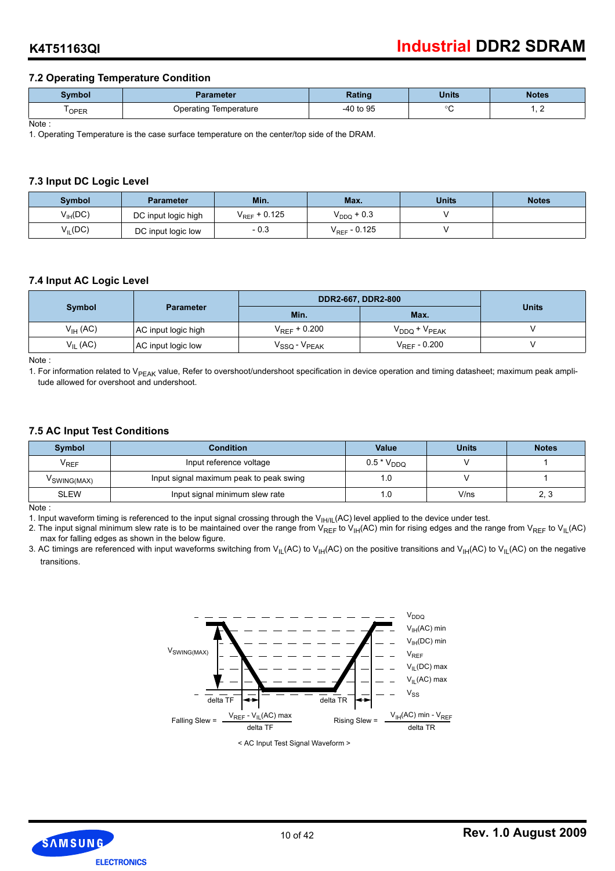#### **7.2 Operating Temperature Condition**

| Symbol | <b>Parameter</b>      | Ratinc    | <b>Units</b> | <b>Notes</b> |
|--------|-----------------------|-----------|--------------|--------------|
| OPER   | Operating Temperature | -40 to 95 | ∩г           | , .          |

Note :

1. Operating Temperature is the case surface temperature on the center/top side of the DRAM.

#### **7.3 Input DC Logic Level**

| Symbol              | <b>Parameter</b>    | Min.                     | Max.                     | Units | <b>Notes</b> |
|---------------------|---------------------|--------------------------|--------------------------|-------|--------------|
| $V_{\text{IH}}(DC)$ | DC input logic high | V <sub>REF</sub> + 0.125 | $\rm V_{DDQ}$ + 0.3      |       |              |
| $V_{IL}(DC)$        | DC input logic low  | $-0.3$                   | V <sub>REF</sub> - 0.125 |       |              |

#### **7.4 Input AC Logic Level**

|                     |                     | DDR2-667, DDR2-800                                         |                        |              |  |
|---------------------|---------------------|------------------------------------------------------------|------------------------|--------------|--|
| <b>Symbol</b>       | <b>Parameter</b>    | Min.                                                       | Max.                   | <b>Units</b> |  |
| $V_{\text{IH}}(AC)$ | AC input logic high | $V_{REF}$ + 0.200                                          | $V_{DDQ}$ + $V_{PEAK}$ |              |  |
| $V_{IL}$ (AC)       | AC input logic low  | $\mathsf{V}_{\mathsf{SSQ}}$ - $\mathsf{V}_{\mathsf{PEAK}}$ | $V_{RFF}$ - 0.200      |              |  |

Note :

1. For information related to V<sub>PEAK</sub> value, Refer to overshoot/undershoot specification in device operation and timing datasheet; maximum peak amplitude allowed for overshoot and undershoot.

#### **7.5 AC Input Test Conditions**

| Symbol           | <b>Condition</b>                        | <b>Value</b>    | <b>Units</b> | <b>Notes</b> |
|------------------|-----------------------------------------|-----------------|--------------|--------------|
| <sup>V</sup> REF | Input reference voltage                 | $0.5 * V_{DDQ}$ |              |              |
| VSWING(MAX)      | Input signal maximum peak to peak swing | l.O             |              |              |
| <b>SLEW</b>      | Input signal minimum slew rate          | 1.0             | V/ns         | ററ<br>د.,    |

Note :

1. Input waveform timing is referenced to the input signal crossing through the  $V_{H/IL}(AC)$  level applied to the device under test.

2. The input signal minimum slew rate is to be maintained over the range from  $V_{REF}$  to  $V_{HH}(AC)$  min for rising edges and the range from  $V_{REF}$  to  $V_{HL}(AC)$ max for falling edges as shown in the below figure.

3. AC timings are referenced with input waveforms switching from V<sub>IL</sub>(AC) to V<sub>IH</sub>(AC) on the positive transitions and V<sub>IH</sub>(AC) to V<sub>IL</sub>(AC) on the negative transitions.



SAMSUNG **ELECTRONICS**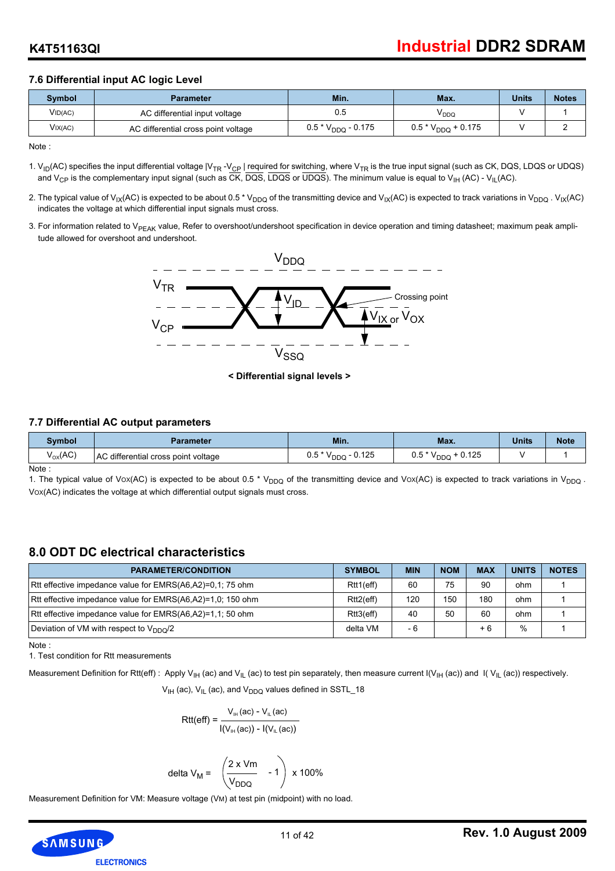## **7.6 Differential input AC logic Level**

| Svmbol  | <b>Parameter</b>                    | Min.                    | Max.                    | <b>Units</b> | <b>Notes</b> |
|---------|-------------------------------------|-------------------------|-------------------------|--------------|--------------|
| VID(AC) | AC differential input voltage       | 0.5                     | <sup>V</sup> DDQ        |              |              |
| VIX(AC) | AC differential cross point voltage | $0.5 * V_{DDQ} - 0.175$ | $0.5 * V_{DDQ} + 0.175$ |              |              |

Note :

- 1.  $V_{ID}(AC)$  specifies the input differential voltage  $|V_{TR} V_{CP}|$  required for switching, where  $V_{TR}$  is the true input signal (such as CK, DQS, LDQS or UDQS) and V<sub>CP</sub> is the complementary input signal (such as  $\overline{CK}$ ,  $\overline{DQS}$ ,  $\overline{LDQS}$  or  $\overline{UDQS}$ ). The minimum value is equal to V<sub>IH</sub> (AC) - V<sub>IL</sub>(AC).
- 2. The typical value of V<sub>IX</sub>(AC) is expected to be about 0.5 \* V<sub>DDQ</sub> of the transmitting device and V<sub>IX</sub>(AC) is expected to track variations in V<sub>DDQ</sub>. V<sub>IX</sub>(AC) indicates the voltage at which differential input signals must cross.
- 3. For information related to V<sub>PEAK</sub> value, Refer to overshoot/undershoot specification in device operation and timing datasheet; maximum peak amplitude allowed for overshoot and undershoot.



**< Differential signal levels >**

#### **7.7 Differential AC output parameters**

| Svmbol       | <b>Parameter</b>                    | Min.                                                             | Max.                                   | <b>Units</b> | <b>Note</b> |
|--------------|-------------------------------------|------------------------------------------------------------------|----------------------------------------|--------------|-------------|
| $V_{OX}(AC)$ | AC differential cross point voltage | $-0.125$<br>$E^*$ $\lambda$ $\lambda$<br>u.a<br><sup>V</sup> DDQ | 0.125<br>$0.5 * V$<br><sup>V</sup> DDG |              |             |

Note :

1. The typical value of Vox(AC) is expected to be about 0.5 \* V<sub>DDQ</sub> of the transmitting device and Vox(AC) is expected to track variations in V<sub>DDQ</sub>. VOX(AC) indicates the voltage at which differential output signals must cross.

## **8.0 ODT DC electrical characteristics**

| <b>PARAMETER/CONDITION</b>                                 | <b>SYMBOL</b> | <b>MIN</b> | <b>NOM</b> | <b>MAX</b> | <b>UNITS</b> | <b>NOTES</b> |
|------------------------------------------------------------|---------------|------------|------------|------------|--------------|--------------|
| Rtt effective impedance value for EMRS(A6,A2)=0,1; 75 ohm  | Rtt1(eff)     | 60         | 75         | 90         | ohm          |              |
| Rtt effective impedance value for EMRS(A6,A2)=1,0; 150 ohm | Rtt2(eff)     | 120        | 150        | 180        | ohm          |              |
| Rtt effective impedance value for EMRS(A6,A2)=1,1; 50 ohm  | Rtt3(eff)     | 40         | 50         | 60         | ohm          |              |
| Deviation of VM with respect to $V_{DDO}/2$                | delta VM      | - 6        |            | $+6$       | $\%$         |              |

Note :

1. Test condition for Rtt measurements

Measurement Definition for Rtt(eff): Apply V<sub>IH</sub> (ac) and V<sub>IL</sub> (ac) to test pin separately, then measure current I(V<sub>IH</sub> (ac)) and I(V<sub>IL</sub> (ac)) respectively.

 $V_{IH}$  (ac),  $V_{IL}$  (ac), and  $V_{DDO}$  values defined in SSTL\_18

$$
\mathsf{Rtt}(eff) = \frac{V_{\text{H}}(ac) - V_{\text{H}}(ac)}{I(V_{\text{H}}(ac)) - I(V_{\text{H}}(ac))}
$$

V<sub>DDQ</sub>

delta V<sub>M</sub> = 2 x Vm

Measurement Definition for VM: Measure voltage (VM) at test pin (midpoint) with no load.



 $-1$  x 100%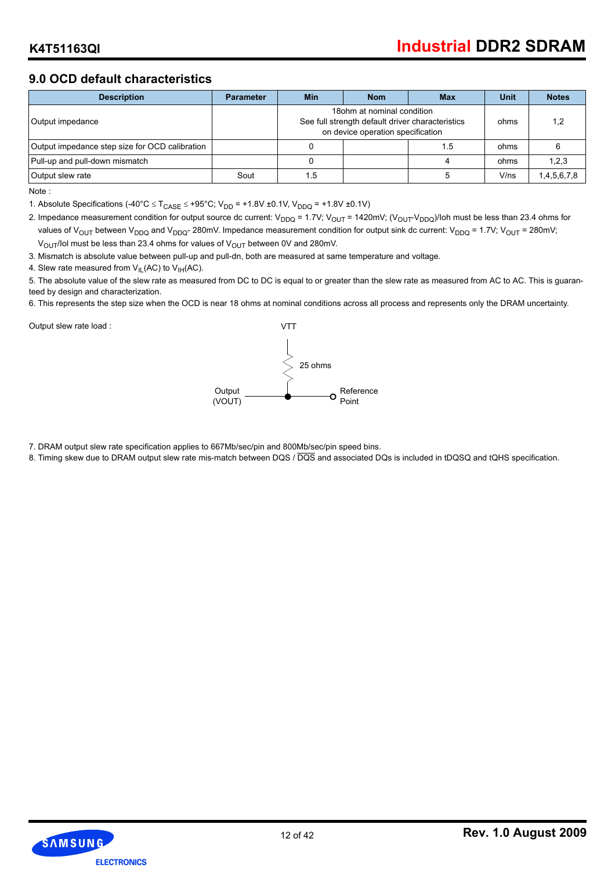## **9.0 OCD default characteristics**

| <b>Description</b>                             | <b>Parameter</b> | <b>Min</b> | <b>Nom</b>                                                                                                           | Max | <b>Unit</b> | <b>Notes</b> |
|------------------------------------------------|------------------|------------|----------------------------------------------------------------------------------------------------------------------|-----|-------------|--------------|
| Output impedance                               |                  |            | 18 ohm at nominal condition<br>See full strength default driver characteristics<br>on device operation specification |     | ohms        | 1.2          |
| Output impedance step size for OCD calibration |                  |            |                                                                                                                      | ı.5 | ohms        |              |
| Pull-up and pull-down mismatch                 |                  |            |                                                                                                                      |     | ohms        | 1,2,3        |
| Output slew rate                               | Sout             | 1.5        |                                                                                                                      |     | V/ns        | 1,4,5,6,7,8  |

Note :

1. Absolute Specifications (-40°C ≤ T<sub>CASE</sub> ≤ +95°C; V<sub>DD</sub> = +1.8V ±0.1V, V<sub>DDQ</sub> = +1.8V ±0.1V)

2. Impedance measurement condition for output source dc current:  $V_{DDQ} = 1.7V$ ;  $V_{OUT} = 1420$ mV; ( $V_{OUT}V_{DDQ}$ )/Ioh must be less than 23.4 ohms for values of V<sub>OUT</sub> between V<sub>DDQ</sub> and V<sub>DDQ</sub>-280mV. Impedance measurement condition for output sink dc current: V<sub>DDQ</sub> = 1.7V; V<sub>OUT</sub> = 280mV;  $V_{\text{OUT}}$ /Iol must be less than 23.4 ohms for values of  $V_{\text{OUT}}$  between 0V and 280mV.

3. Mismatch is absolute value between pull-up and pull-dn, both are measured at same temperature and voltage.

4. Slew rate measured from  $V_{IL}(AC)$  to  $V_{IH}(AC)$ .

5. The absolute value of the slew rate as measured from DC to DC is equal to or greater than the slew rate as measured from AC to AC. This is guaranteed by design and characterization.

6. This represents the step size when the OCD is near 18 ohms at nominal conditions across all process and represents only the DRAM uncertainty.

Output slew rate load :



7. DRAM output slew rate specification applies to 667Mb/sec/pin and 800Mb/sec/pin speed bins.

8. Timing skew due to DRAM output slew rate mis-match between DQS / DQS and associated DQs is included in tDQSQ and tQHS specification.

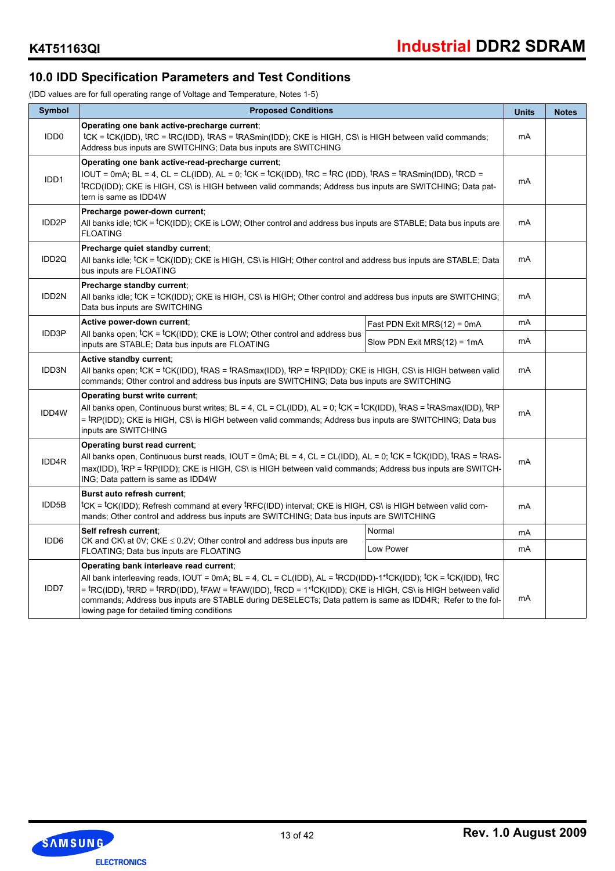## **10.0 IDD Specification Parameters and Test Conditions**

(IDD values are for full operating range of Voltage and Temperature, Notes 1-5)

| Symbol             | <b>Proposed Conditions</b>                                                                                                                                                                                                                                                                                                                                                                                                                                                                                 |                                | <b>Units</b> | <b>Notes</b> |  |  |
|--------------------|------------------------------------------------------------------------------------------------------------------------------------------------------------------------------------------------------------------------------------------------------------------------------------------------------------------------------------------------------------------------------------------------------------------------------------------------------------------------------------------------------------|--------------------------------|--------------|--------------|--|--|
| IDD <sub>0</sub>   | Operating one bank active-precharge current;<br>tcK = tcK(IDD), tRC = tRC(IDD), tRAS = tRASmin(IDD); CKE is HIGH, CS\ is HIGH between valid commands;<br>Address bus inputs are SWITCHING; Data bus inputs are SWITCHING                                                                                                                                                                                                                                                                                   |                                | mA           |              |  |  |
| IDD1               | Operating one bank active-read-precharge current;<br>IOUT = 0mA; BL = 4, CL = CL(IDD), AL = 0; ${}^{\rm t}$ CK = ${}^{\rm t}$ CK(IDD), ${}^{\rm t}$ RC = ${}^{\rm t}$ RC (IDD), ${}^{\rm t}$ RAS = ${}^{\rm t}$ RASmin(IDD), ${}^{\rm t}$ RCD =<br><sup>t</sup> RCD(IDD); CKE is HIGH, CS\ is HIGH between valid commands; Address bus inputs are SWITCHING; Data pat-<br>tern is same as IDD4W                                                                                                            |                                | mA           |              |  |  |
| IDD <sub>2</sub> P | Precharge power-down current;<br>All banks idle; tCK = <sup>t</sup> CK(IDD); CKE is LOW; Other control and address bus inputs are STABLE; Data bus inputs are<br><b>FLOATING</b>                                                                                                                                                                                                                                                                                                                           |                                | mA           |              |  |  |
| IDD <sub>2Q</sub>  | Precharge quiet standby current:<br>All banks idle; <sup>t</sup> CK = <sup>t</sup> CK(IDD); CKE is HIGH, CS\ is HIGH; Other control and address bus inputs are STABLE; Data<br>bus inputs are FLOATING                                                                                                                                                                                                                                                                                                     |                                | mA           |              |  |  |
| IDD2N              | Precharge standby current;<br>All banks idle; $\text{tCK} = \text{tCK(IDD)}$ ; CKE is HIGH, CS\ is HIGH; Other control and address bus inputs are SWITCHING;<br>Data bus inputs are SWITCHING                                                                                                                                                                                                                                                                                                              | mA                             |              |              |  |  |
|                    | Active power-down current;                                                                                                                                                                                                                                                                                                                                                                                                                                                                                 | Fast PDN Exit MRS $(12)$ = 0mA | mA           |              |  |  |
| IDD3P              | All banks open; tCK = tCK(IDD); CKE is LOW; Other control and address bus<br>inputs are STABLE; Data bus inputs are FLOATING                                                                                                                                                                                                                                                                                                                                                                               | Slow PDN Exit $MRS(12) = 1mA$  | mA           |              |  |  |
| IDD3N              | Active standby current;<br>All banks open: tCK = tCK(IDD), tRAS = tRASmax(IDD), tRP = tRP(IDD); CKE is HIGH, CS\ is HIGH between valid<br>commands; Other control and address bus inputs are SWITCHING; Data bus inputs are SWITCHING                                                                                                                                                                                                                                                                      |                                |              |              |  |  |
| IDD4W              | Operating burst write current:<br>All banks open, Continuous burst writes; BL = 4, CL = CL(IDD), AL = 0; <sup>t</sup> CK = <sup>t</sup> CK(IDD), <sup>t</sup> RAS = <sup>t</sup> RASmax(IDD), <sup>t</sup> RP<br>= <sup>t</sup> RP(IDD); CKE is HIGH, CS\ is HIGH between valid commands; Address bus inputs are SWITCHING; Data bus<br>inputs are SWITCHING                                                                                                                                               |                                | mA           |              |  |  |
| IDD4R              | Operating burst read current:<br>All banks open, Continuous burst reads, IOUT = 0mA; BL = 4, CL = CL(IDD), AL = 0; tCK = tCK(IDD), tRAS = tRAS-<br>max(IDD), <sup>t</sup> RP = <sup>t</sup> RP(IDD); CKE is HIGH, CS\ is HIGH between valid commands; Address bus inputs are SWITCH-<br>ING; Data pattern is same as IDD4W                                                                                                                                                                                 |                                | mA           |              |  |  |
| IDD5B              | Burst auto refresh current:<br>tCK = tCK(IDD); Refresh command at every tRFC(IDD) interval; CKE is HIGH, CS\ is HIGH between valid com-<br>mands; Other control and address bus inputs are SWITCHING; Data bus inputs are SWITCHING                                                                                                                                                                                                                                                                        |                                | mA           |              |  |  |
|                    | Self refresh current:                                                                                                                                                                                                                                                                                                                                                                                                                                                                                      | Normal                         | mA           |              |  |  |
| IDD <sub>6</sub>   | CK and CK\ at 0V; CKE $\leq$ 0.2V; Other control and address bus inputs are<br>FLOATING; Data bus inputs are FLOATING                                                                                                                                                                                                                                                                                                                                                                                      | Low Power                      | mA           |              |  |  |
| IDD7               | Operating bank interleave read current:<br>All bank interleaving reads, IOUT = 0mA; BL = 4, CL = CL(IDD), AL = ${}^{\text{t}}$ RCD(IDD)-1 <sup>*{</sup> CK(IDD); ${}^{\text{t}}$ CK = ${}^{\text{t}}$ CK(IDD), ${}^{\text{t}}$ RC<br>= tRC(IDD), tRRD = tRRD(IDD), tFAW = tFAW(IDD), tRCD = 1*tCK(IDD); CKE is HIGH, CS\ is HIGH between valid<br>commands; Address bus inputs are STABLE during DESELECTs; Data pattern is same as IDD4R; Refer to the fol-<br>lowing page for detailed timing conditions |                                |              |              |  |  |

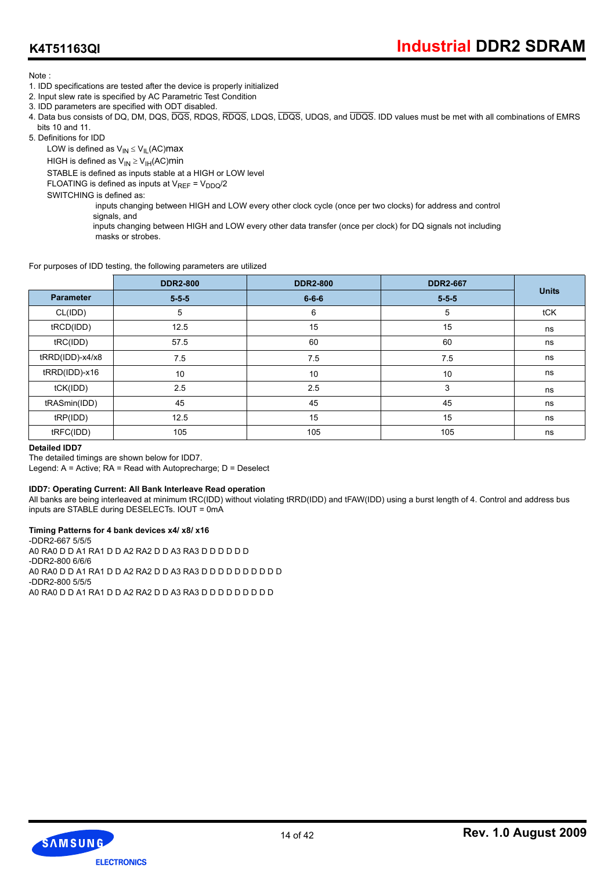## **K4T51163QI**

Note :

- 1. IDD specifications are tested after the device is properly initialized
- 2. Input slew rate is specified by AC Parametric Test Condition
- 3. IDD parameters are specified with ODT disabled.
- 4. Data bus consists of DQ, DM, DQS, DQS, RDQS, RDQS, LDQS, LDQS, UDQS, and UDQS. IDD values must be met with all combinations of EMRS bits 10 and 11.
- 5. Definitions for IDD

LOW is defined as  $V_{IN} \leq V_{IL}$  (AC) max

HIGH is defined as  $V_{IN} \geq V_{IH} (AC)$ min

STABLE is defined as inputs stable at a HIGH or LOW level

FLOATING is defined as inputs at  $V_{REF} = V_{DDQ}/2$ 

SWITCHING is defined as:

 inputs changing between HIGH and LOW every other clock cycle (once per two clocks) for address and control signals, and

 inputs changing between HIGH and LOW every other data transfer (once per clock) for DQ signals not including masks or strobes.

For purposes of IDD testing, the following parameters are utilized

|                  | <b>DDR2-800</b> | <b>DDR2-800</b> | <b>DDR2-667</b> |              |
|------------------|-----------------|-----------------|-----------------|--------------|
| <b>Parameter</b> | $5 - 5 - 5$     | $6 - 6 - 6$     | $5 - 5 - 5$     | <b>Units</b> |
| CL(IDD)          | 5               | 6               | 5               | tCK          |
| tRCD(IDD)        | 12.5            | 15              | 15              | ns           |
| tRC(IDD)         | 57.5            | 60              | 60              | ns           |
| tRRD(IDD)-x4/x8  | 7.5             | 7.5             | 7.5             | ns           |
| tRRD(IDD)-x16    | 10              | 10              | 10              | ns           |
| tCK(IDD)         | 2.5             | 2.5             | 3               | ns           |
| tRASmin(IDD)     | 45              | 45              | 45              | ns           |
| tRP(IDD)         | 12.5            | 15              | 15              | ns           |
| tRFC(IDD)        | 105             | 105             | 105             | ns           |

#### **Detailed IDD7**

The detailed timings are shown below for IDD7.

Legend: A = Active; RA = Read with Autoprecharge; D = Deselect

#### **IDD7: Operating Current: All Bank Interleave Read operation**

All banks are being interleaved at minimum tRC(IDD) without violating tRRD(IDD) and tFAW(IDD) using a burst length of 4. Control and address bus inputs are STABLE during DESELECTs. IOUT = 0mA

#### **Timing Patterns for 4 bank devices x4/ x8/ x16**

-DDR2-667 5/5/5 A0 RA0 D D A1 RA1 D D A2 RA2 D D A3 RA3 D D D D D D -DDR2-800 6/6/6 A0 RA0 D D A1 RA1 D D A2 RA2 D D A3 RA3 D D D D D D D D D D -DDR2-800 5/5/5 A0 RA0 D D A1 RA1 D D A2 RA2 D D A3 RA3 D D D D D D D D D

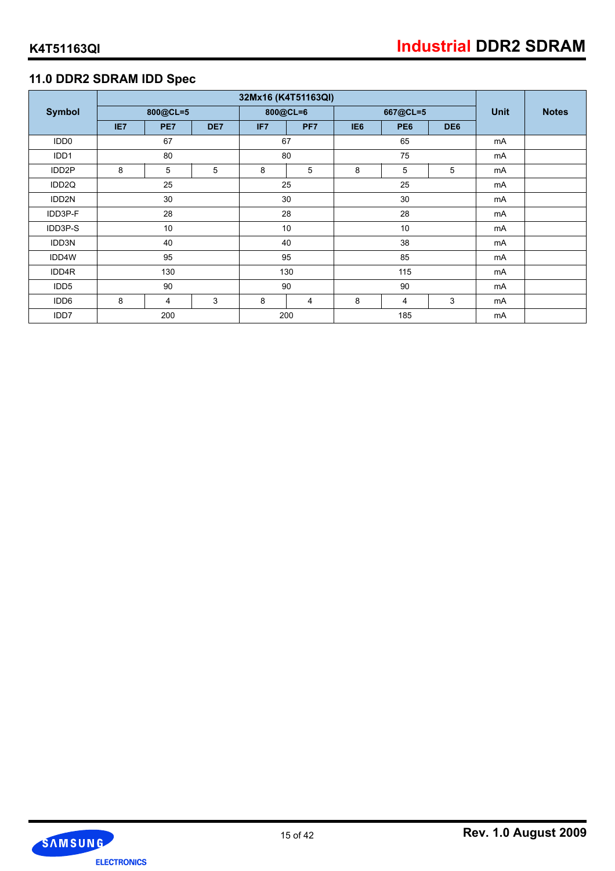## **11.0 DDR2 SDRAM IDD Spec**

|                    |     |          |     |          | 32Mx16 (K4T51163QI) |                 |                 |                 |             |              |
|--------------------|-----|----------|-----|----------|---------------------|-----------------|-----------------|-----------------|-------------|--------------|
| <b>Symbol</b>      |     | 800@CL=5 |     |          | 800@CL=6            |                 | 667@CL=5        |                 | <b>Unit</b> | <b>Notes</b> |
|                    | IE7 | PE7      | DE7 | IF7      | PF <sub>7</sub>     | IE <sub>6</sub> | PE <sub>6</sub> | DE <sub>6</sub> |             |              |
| IDD <sub>0</sub>   |     | 67       |     | 67       |                     |                 | 65              |                 | mA          |              |
| IDD1               |     | 80       |     |          | 80                  |                 | 75              |                 | mA          |              |
| IDD <sub>2</sub> P | 8   | 5        | 5   | 8        | 5                   | 8               | 5               | 5               | mA          |              |
| IDD <sub>2Q</sub>  | 25  |          |     | 25<br>25 |                     |                 | m <sub>A</sub>  |                 |             |              |
| IDD2N              |     | 30       |     |          | 30                  | 30              |                 |                 | mA          |              |
| IDD3P-F            |     | 28       |     |          | 28<br>28            |                 |                 | mA              |             |              |
| IDD3P-S            |     | 10       |     | 10       |                     |                 | 10              |                 | mA          |              |
| IDD3N              | 40  |          |     | 40       |                     | 38              |                 | mA              |             |              |
| IDD4W              |     | 95       |     |          | 95                  | 85              |                 |                 | mA          |              |
| IDD4R              | 130 |          |     |          |                     | 130<br>115      |                 |                 | mA          |              |
| IDD <sub>5</sub>   |     | 90       |     | 90       |                     | 90              |                 |                 | mA          |              |
| IDD <sub>6</sub>   | 8   | 4        | 3   | 8        | $\overline{4}$      | 8               | 4               | 3               | mA          |              |
| IDD7               |     | 200      |     |          | 200<br>185          |                 |                 | mA              |             |              |

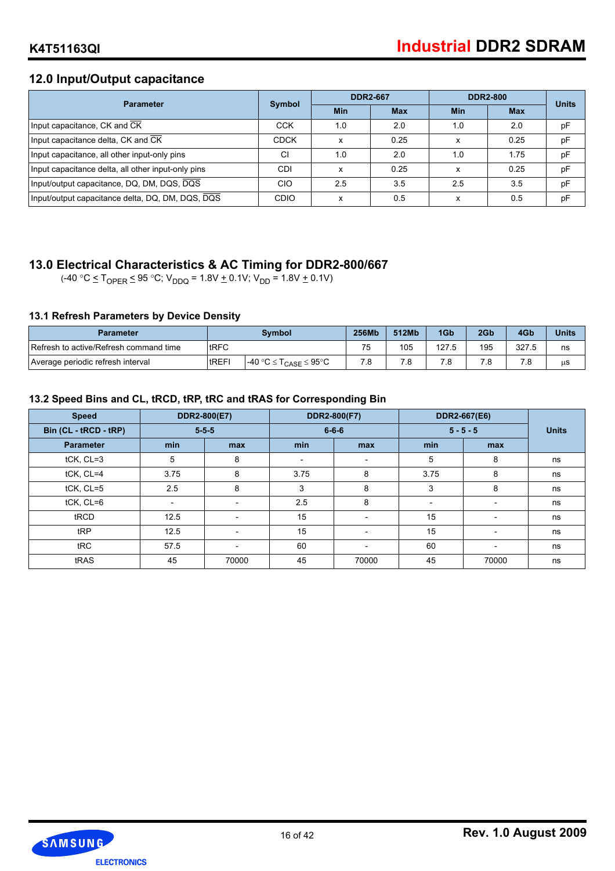## **12.0 Input/Output capacitance**

| <b>Parameter</b>                                   | <b>Symbol</b> |            | <b>DDR2-667</b> |            | <b>DDR2-800</b> | <b>Units</b> |
|----------------------------------------------------|---------------|------------|-----------------|------------|-----------------|--------------|
|                                                    |               | <b>Min</b> | <b>Max</b>      | <b>Min</b> | <b>Max</b>      |              |
| Input capacitance, CK and CK                       | <b>CCK</b>    | 1.0        | 2.0             | 1.0        | 2.0             | pF           |
| Input capacitance delta, CK and CK                 | <b>CDCK</b>   | x          | 0.25            | x          | 0.25            | pF           |
| Input capacitance, all other input-only pins       | CI            | 1.0        | 2.0             | 1.0        | 1.75            | pF           |
| Input capacitance delta, all other input-only pins | CDI           | x          | 0.25            | x          | 0.25            | pF           |
| Input/output capacitance, DQ, DM, DQS, DQS         | CIO           | 2.5        | 3.5             | 2.5        | 3.5             | pF           |
| Input/output capacitance delta, DQ, DM, DQS, DQS   | <b>CDIO</b>   | x          | 0.5             |            | 0.5             | pF           |

## **13.0 Electrical Characteristics & AC Timing for DDR2-800/667**

 $(-40 \degree C \leq T_{\text{OPER}} \leq 95 \degree C$ ;  $V_{\text{DDQ}} = 1.8V \pm 0.1V$ ;  $V_{\text{DD}} = 1.8V \pm 0.1V$ )

### **13.1 Refresh Parameters by Device Density**

| <b>Parameter</b>                       |               | Symbol                          | <b>256MK</b> | 512Mb | 1G <sub>b</sub> | 2Gb | 4Gb   | <b>Units</b> |
|----------------------------------------|---------------|---------------------------------|--------------|-------|-----------------|-----|-------|--------------|
| Refresh to active/Refresh command time | <b>tRFC</b>   |                                 | 75           | 105   | 127.5           | 195 | 327.5 | ns           |
| Average periodic refresh interval      | <b>ItREFI</b> | $-40 °C \le T_{CASE} \le 95 °C$ | .0           |       | 8.'             | .8  |       | μS           |

### **13.2 Speed Bins and CL, tRCD, tRP, tRC and tRAS for Corresponding Bin**

| <b>Speed</b>          |                          | DDR2-800(E7)   |                          | DDR2-800(F7)             |      | DDR2-667(E6)             |              |
|-----------------------|--------------------------|----------------|--------------------------|--------------------------|------|--------------------------|--------------|
| Bin (CL - tRCD - tRP) |                          | $5 - 5 - 5$    |                          | $6 - 6 - 6$              |      | $5 - 5 - 5$              | <b>Units</b> |
| <b>Parameter</b>      | min                      | max            | min                      | max                      | min  | max                      |              |
| tCK, CL=3             | 5                        | 8              | $\overline{\phantom{a}}$ | $\overline{\phantom{a}}$ | 5    | 8                        | ns           |
| tCK, CL=4             | 3.75                     | 8              | 3.75                     | 8                        | 3.75 | 8                        | ns           |
| $tCK$ , $CL=5$        | 2.5                      | 8              | 3                        | 8                        | 3    | 8                        | ns           |
| tCK, CL=6             | $\overline{\phantom{a}}$ |                | 2.5                      | 8                        |      | $\overline{\phantom{0}}$ | ns           |
| tRCD                  | 12.5                     | $\overline{a}$ | 15                       | $\overline{\phantom{a}}$ | 15   | $\overline{\phantom{0}}$ | ns           |
| tRP                   | 12.5                     |                | 15                       | $\overline{\phantom{a}}$ | 15   | $\overline{\phantom{a}}$ | ns           |
| tRC                   | 57.5                     | $\overline{a}$ | 60                       | $\overline{\phantom{0}}$ | 60   | $\overline{\phantom{a}}$ | ns           |
| tRAS                  | 45                       | 70000          | 45                       | 70000                    | 45   | 70000                    | ns           |

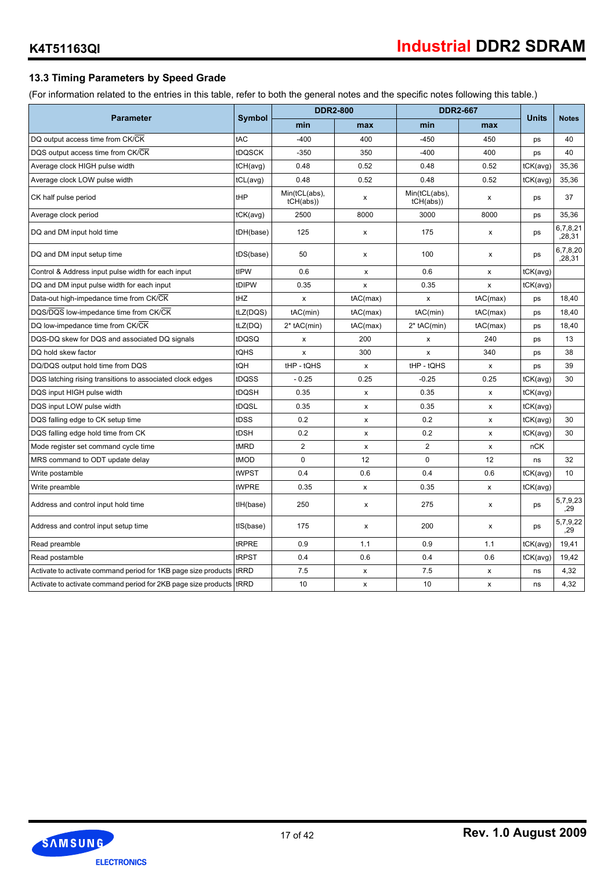## **13.3 Timing Parameters by Speed Grade**

(For information related to the entries in this table, refer to both the general notes and the specific notes following this table.)

|                                                                    |                   |                           | <b>DDR2-800</b>    |                           | <b>DDR2-667</b> | <b>Units</b> |                    |
|--------------------------------------------------------------------|-------------------|---------------------------|--------------------|---------------------------|-----------------|--------------|--------------------|
| <b>Parameter</b>                                                   | <b>Symbol</b>     | min                       | max                | min                       | max             |              | <b>Notes</b>       |
| DQ output access time from CK/CK                                   | tAC               | $-400$                    | 400                | $-450$                    | 450             | ps           | 40                 |
| DQS output access time from CK/CK                                  | tDQSCK            | $-350$                    | 350                | $-400$                    | 400             | ps           | 40                 |
| Average clock HIGH pulse width                                     | tCH(avg)          | 0.48                      | 0.52               | 0.48                      | 0.52            | tCK(avg)     | 35,36              |
| Average clock LOW pulse width                                      | tCL(avg)          | 0.48                      | 0.52               | 0.48                      | 0.52            | tCK(avg)     | 35,36              |
| CK half pulse period                                               | tHP               | Min(tCL(abs),<br>tCH(abs) | x                  | Min(tCL(abs),<br>tCH(abs) | x               | ps           | 37                 |
| Average clock period                                               | $tCK(\text{avg})$ | 2500                      | 8000               | 3000                      | 8000            | ps           | 35,36              |
| DQ and DM input hold time                                          | tDH(base)         | 125                       | x                  | 175                       | X               | ps           | 6,7,8,21<br>,28,31 |
| DQ and DM input setup time                                         | tDS(base)         | 50                        | x                  | 100                       | x               | ps           | 6,7,8,20<br>,28,31 |
| Control & Address input pulse width for each input                 | tIPW              | 0.6                       | x                  | 0.6                       | x               | tCK(avg)     |                    |
| DQ and DM input pulse width for each input                         | tDIPW             | 0.35                      | x                  | 0.35                      | x               | tCK(avg)     |                    |
| Data-out high-impedance time from CK/CK                            | tHZ               | x                         | tAC(max)           | x                         | tAC(max)        | ps           | 18.40              |
| DQS/DQS low-impedance time from CK/CK                              | tLZ(DQS)          | tAC(min)                  | tAC(max)           | tAC(min)                  | tAC(max)        | ps           | 18,40              |
| DQ low-impedance time from CK/CK                                   | tLZ(DQ)           | $2*$ tAC(min)             | tAC(max)           | $2*$ tAC(min)             | tAC(max)        | ps           | 18,40              |
| DQS-DQ skew for DQS and associated DQ signals                      | tDQSQ             | X                         | 200                | X                         | 240             | ps           | 13                 |
| DQ hold skew factor                                                | tQHS              | X                         | 300                | x                         | 340             | ps           | 38                 |
| DQ/DQS output hold time from DQS                                   | tQH               | tHP - tQHS                | $\pmb{\mathsf{x}}$ | tHP - tQHS                | X               | ps           | 39                 |
| DQS latching rising transitions to associated clock edges          | tDQSS             | $-0.25$                   | 0.25               | $-0.25$                   | 0.25            | tCK(avg)     | 30                 |
| DQS input HIGH pulse width                                         | tDQSH             | 0.35                      | x                  | 0.35                      | X               | tCK(avg)     |                    |
| DQS input LOW pulse width                                          | tDQSL             | 0.35                      | x                  | 0.35                      | X               | tCK(avg)     |                    |
| DQS falling edge to CK setup time                                  | tDSS              | 0.2                       | x                  | 0.2                       | x               | tCK(avg)     | 30                 |
| DQS falling edge hold time from CK                                 | tDSH              | 0.2                       | x                  | 0.2                       | X               | tCK(avg)     | 30                 |
| Mode register set command cycle time                               | tMRD              | 2                         | X                  | $\overline{2}$            | X               | nCK          |                    |
| MRS command to ODT update delay                                    | tMOD              | 0                         | 12                 | $\mathbf 0$               | 12              | ns           | 32                 |
| Write postamble                                                    | tWPST             | 0.4                       | 0.6                | 0.4                       | 0.6             | tCK(avg)     | 10                 |
| Write preamble                                                     | tWPRE             | 0.35                      | x                  | 0.35                      | X               | tCK(avg)     |                    |
| Address and control input hold time                                | tlH(base)         | 250                       | x                  | 275                       | X               | ps           | 5,7,9,23<br>.29    |
| Address and control input setup time                               | tIS(base)         | 175                       | X                  | 200                       | X               | ps           | 5,7,9,22<br>,29    |
| Read preamble                                                      | tRPRE             | 0.9                       | 1.1                | 0.9                       | 1.1             | tCK(avg)     | 19.41              |
| Read postamble                                                     | tRPST             | 0.4                       | 0.6                | 0.4                       | 0.6             | tCK(avg)     | 19,42              |
| Activate to activate command period for 1KB page size products     | tRRD              | 7.5                       | x                  | 7.5                       | x               | ns           | 4,32               |
| Activate to activate command period for 2KB page size products RRD |                   | 10                        | x                  | 10                        | x               | ns           | 4,32               |

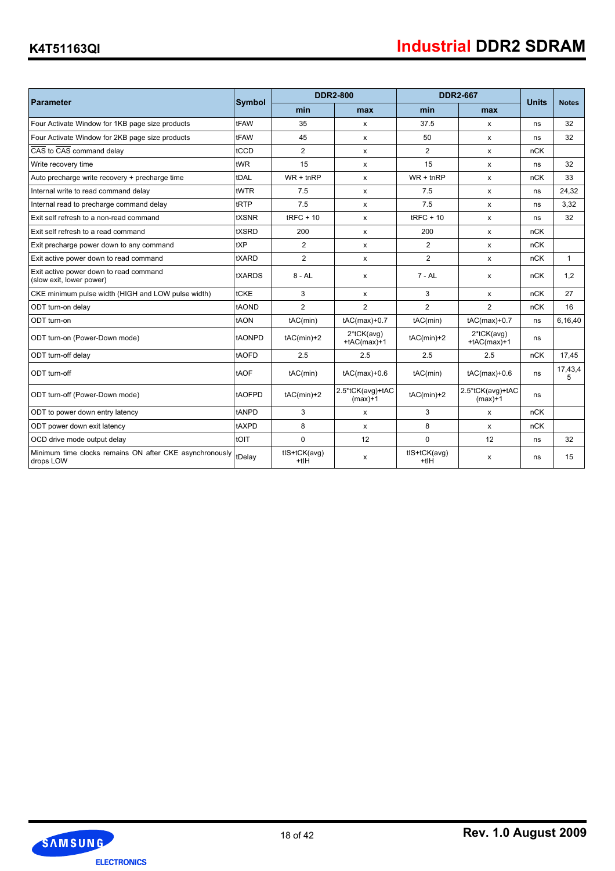## **K4T51163QI**

|                                                                      |               |                      | <b>DDR2-800</b>                   |                        | <b>DDR2-667</b>               |              |              |
|----------------------------------------------------------------------|---------------|----------------------|-----------------------------------|------------------------|-------------------------------|--------------|--------------|
| Parameter                                                            | <b>Symbol</b> | min                  | max                               | min                    | max                           | <b>Units</b> | <b>Notes</b> |
| Four Activate Window for 1KB page size products                      | tFAW          | 35                   | x                                 | 37.5                   | X                             | ns           | 32           |
| Four Activate Window for 2KB page size products                      | tFAW          | 45                   | x                                 | 50                     | X                             | ns           | 32           |
| CAS to CAS command delay                                             | tCCD          | $\overline{2}$       | X                                 | $\overline{2}$         | x                             | nCK          |              |
| Write recovery time                                                  | tWR           | 15                   | x                                 | 15                     | x                             | ns           | 32           |
| Auto precharge write recovery + precharge time                       | tDAL          | $WR + inRP$          | X                                 | $WR + t nRP$           | X                             | nCK          | 33           |
| Internal write to read command delay                                 | tWTR          | 7.5                  | x                                 | 7.5                    | x                             | ns           | 24,32        |
| Internal read to precharge command delay                             | tRTP          | 7.5                  | x                                 | 7.5                    | X                             | ns           | 3,32         |
| Exit self refresh to a non-read command                              | tXSNR         | $tRFC + 10$          | X                                 | $t$ RFC + 10           | X                             | ns           | 32           |
| Exit self refresh to a read command                                  | tXSRD         | 200                  | X                                 | 200                    | X                             | nCK          |              |
| Exit precharge power down to any command                             | tXP           | $\overline{2}$       | X                                 | 2                      | X                             | nCK          |              |
| Exit active power down to read command                               | tXARD         | $\overline{2}$       | x                                 | $\overline{2}$         | X                             | nCK          | $\mathbf{1}$ |
| Exit active power down to read command<br>(slow exit, lower power)   | tXARDS        | 8 - AL               | x                                 | 7 - AL                 | X                             | nCK          | 1,2          |
| CKE minimum pulse width (HIGH and LOW pulse width)                   | tCKE          | 3                    | X                                 | 3                      | x                             | nCK          | 27           |
| ODT turn-on delay                                                    | tAOND         | $\overline{2}$       | $\overline{2}$                    | $\overline{2}$         | $\overline{2}$                | nCK          | 16           |
| ODT turn-on                                                          | tAON          | tAC(min)             | $tAC(max)+0.7$                    | tAC(min)               | $tAC(max)+0.7$                | ns           | 6,16,40      |
| ODT turn-on (Power-Down mode)                                        | tAONPD        | $tAC(min)+2$         | $2*$ tCK $(avg)$<br>$+tAC(max)+1$ | $tAC(min)+2$           | 2*tCK(avg)<br>$+tAC(max)+1$   | ns           |              |
| ODT turn-off delay                                                   | tAOFD         | 2.5                  | 2.5                               | 2.5                    | 2.5                           | nCK          | 17.45        |
| ODT turn-off                                                         | tAOF          | tAC(min)             | $tAC(max)+0.6$                    | tAC(min)               | $tAC(max)+0.6$                | ns           | 17,43,4<br>5 |
| ODT turn-off (Power-Down mode)                                       | tAOFPD        | $tAC(min)+2$         | 2.5*tCK(avg)+tAC<br>$(max)+1$     | $tAC(min)+2$           | 2.5*tCK(avg)+tAC<br>$(max)+1$ | ns           |              |
| ODT to power down entry latency                                      | tANPD         | 3                    | X                                 | 3                      | $\mathsf{x}$                  | nCK          |              |
| ODT power down exit latency                                          | tAXPD         | 8                    | X                                 | 8                      | x                             | nCK          |              |
| OCD drive mode output delay                                          | tOIT          | $\Omega$             | 12                                | $\Omega$               | 12                            | ns           | 32           |
| Minimum time clocks remains ON after CKE asynchronously<br>drops LOW | tDelay        | tIS+tCK(avq)<br>+tIH | X                                 | tlS+tCK(avq)<br>$+tIH$ | x                             | ns           | 15           |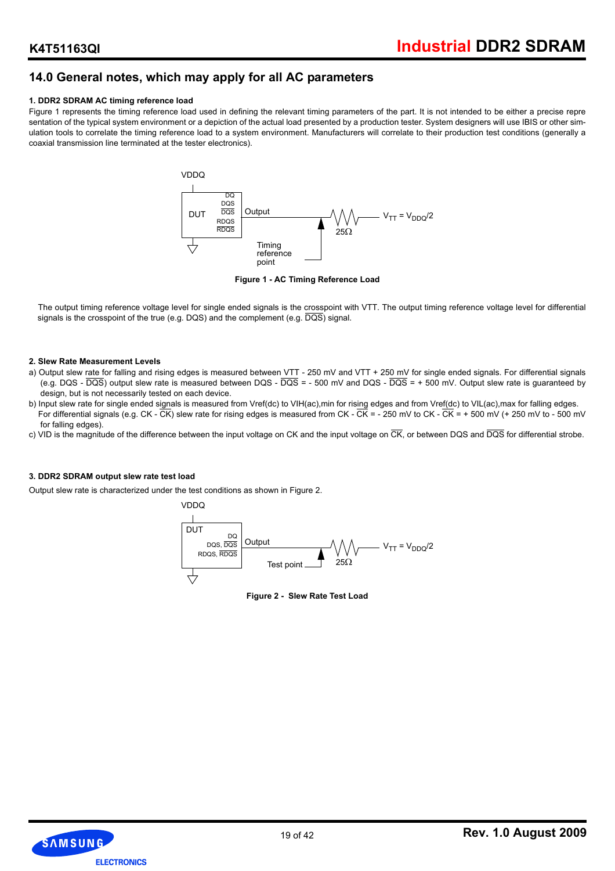## **14.0 General notes, which may apply for all AC parameters**

#### **1. DDR2 SDRAM AC timing reference load**

Figure 1 represents the timing reference load used in defining the relevant timing parameters of the part. It is not intended to be either a precise repre sentation of the typical system environment or a depiction of the actual load presented by a production tester. System designers will use IBIS or other simulation tools to correlate the timing reference load to a system environment. Manufacturers will correlate to their production test conditions (generally a coaxial transmission line terminated at the tester electronics).



**Figure 1 - AC Timing Reference Load**

The output timing reference voltage level for single ended signals is the crosspoint with VTT. The output timing reference voltage level for differential signals is the crosspoint of the true (e.g. DQS) and the complement (e.g. DQS) signal.

#### **2. Slew Rate Measurement Levels**

- a) Output slew rate for falling and rising edges is measured between VTT 250 mV and VTT + 250 mV for single ended signals. For differential signals (e.g. DQS -  $\overline{DQS}$ ) output slew rate is measured between DQS -  $\overline{DQS}$  = - 500 mV and DQS -  $\overline{DQS}$  = + 500 mV. Output slew rate is guaranteed by design, but is not necessarily tested on each device.
- b) Input slew rate for single ended signals is measured from Vref(dc) to VIH(ac),min for rising edges and from Vref(dc) to VIL(ac),max for falling edges. For differential signals (e.g. CK -  $\overline{CK}$ ) slew rate for rising edges is measured from CK -  $\overline{CK}$  = - 250 mV to CK -  $\overline{CK}$  = + 500 mV (+ 250 mV to - 500 mV for falling edges).
- c) VID is the magnitude of the difference between the input voltage on CK and the input voltage on  $\overline{CK}$ , or between DQS and  $\overline{DQS}$  for differential strobe.

#### **3. DDR2 SDRAM output slew rate test load**

Output slew rate is characterized under the test conditions as shown in Figure 2.



**Figure 2 - Slew Rate Test Load**

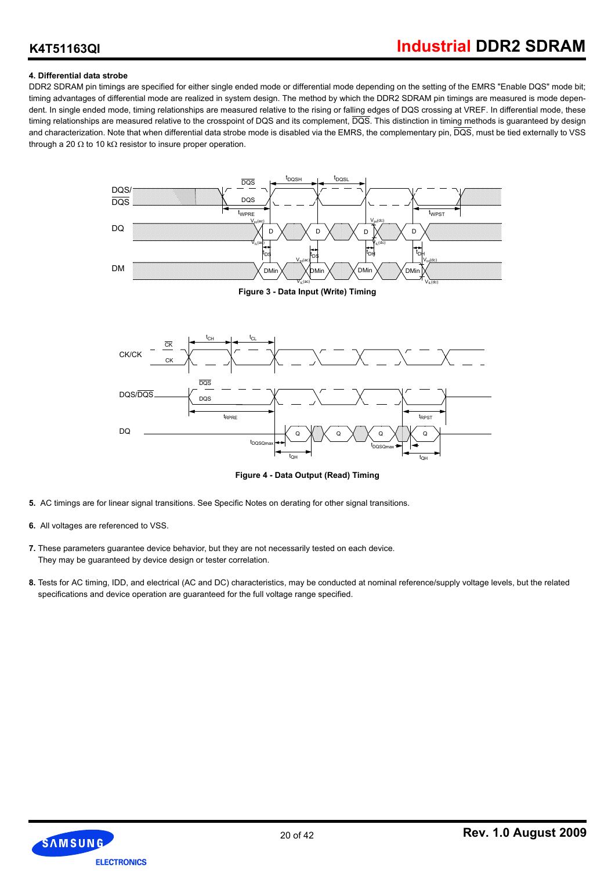#### **4. Differential data strobe**

DDR2 SDRAM pin timings are specified for either single ended mode or differential mode depending on the setting of the EMRS "Enable DQS" mode bit; timing advantages of differential mode are realized in system design. The method by which the DDR2 SDRAM pin timings are measured is mode dependent. In single ended mode, timing relationships are measured relative to the rising or falling edges of DQS crossing at VREF. In differential mode, these timing relationships are measured relative to the crosspoint of DQS and its complement,  $\overline{DQS}$ . This distinction in timing methods is guaranteed by design and characterization. Note that when differential data strobe mode is disabled via the EMRS, the complementary pin,  $\overline{DQS}$ , must be tied externally to VSS through a 20  $\Omega$  to 10 k $\Omega$  resistor to insure proper operation.



**Figure 3 - Data Input (Write) Timing**



**Figure 4 - Data Output (Read) Timing**

- **5.** AC timings are for linear signal transitions. See Specific Notes on derating for other signal transitions.
- **6.** All voltages are referenced to VSS.
- **7.** These parameters guarantee device behavior, but they are not necessarily tested on each device. They may be guaranteed by device design or tester correlation.
- **8.** Tests for AC timing, IDD, and electrical (AC and DC) characteristics, may be conducted at nominal reference/supply voltage levels, but the related specifications and device operation are guaranteed for the full voltage range specified.

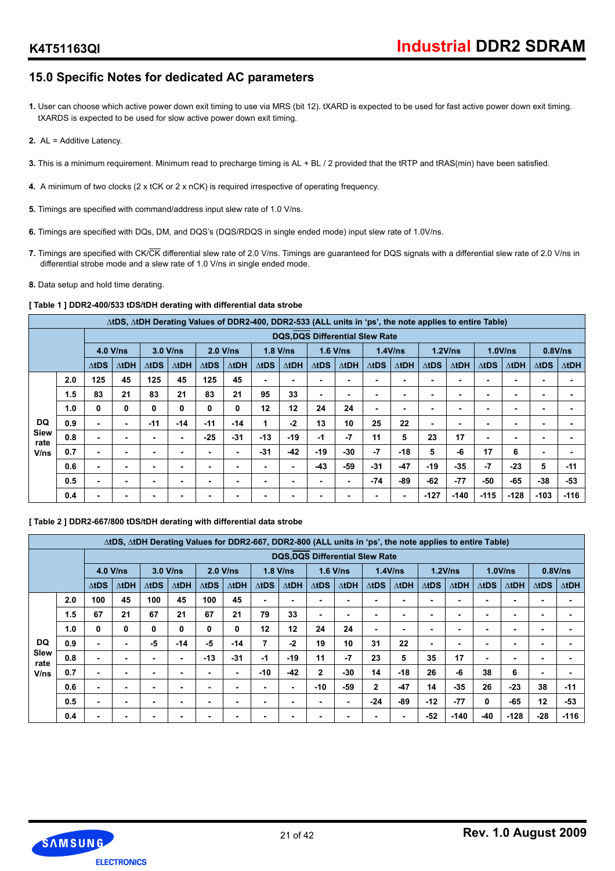## **15.0 Specific Notes for dedicated AC parameters**

- **1.** User can choose which active power down exit timing to use via MRS (bit 12). tXARD is expected to be used for fast active power down exit timing. tXARDS is expected to be used for slow active power down exit timing.
- **2.** AL = Additive Latency.
- **3.** This is a minimum requirement. Minimum read to precharge timing is AL + BL / 2 provided that the tRTP and tRAS(min) have been satisfied.
- **4.** A minimum of two clocks (2 x tCK or 2 x nCK) is required irrespective of operating frequency.
- **5.** Timings are specified with command/address input slew rate of 1.0 V/ns.
- **6.** Timings are specified with DQs, DM, and DQS's (DQS/RDQS in single ended mode) input slew rate of 1.0V/ns.
- **7.** Timings are specified with CK/CK differential slew rate of 2.0 V/ns. Timings are guaranteed for DQS signals with a differential slew rate of 2.0 V/ns in differential strobe mode and a slew rate of 1.0 V/ns in single ended mode.
- **8.** Data setup and hold time derating.

#### **[ Table 1 ] DDR2-400/533 tDS/tDH derating with differential data strobe**

|                     |     |              |               |              |               |               |               | ∆tDS, ∆tDH Derating Values of DDR2-400, DDR2-533 (ALL units in 'ps', the note applies to entire Table) |                                        |              |       |              |              |              |               |              |               |              |              |
|---------------------|-----|--------------|---------------|--------------|---------------|---------------|---------------|--------------------------------------------------------------------------------------------------------|----------------------------------------|--------------|-------|--------------|--------------|--------------|---------------|--------------|---------------|--------------|--------------|
|                     |     |              |               |              |               |               |               |                                                                                                        | <b>DQS, DQS Differential Slew Rate</b> |              |       |              |              |              |               |              |               |              |              |
|                     |     | $4.0$ V/ns   |               | 3.0 V/ns     |               | $2.0$ V/ns    |               | $1.8$ V/ns                                                                                             |                                        | $1.6$ V/ns   |       | $1.4$ V/ns   |              |              | 1.2V/ns       |              | 1.0V/ns       | $0.8$ V/ns   |              |
|                     |     | $\Delta$ tDS | $\Delta t$ DH | $\Delta$ tDS | $\Delta t$ DH | $\Delta t$ DS | $\Delta t$ DH | $\Delta$ tDS                                                                                           | $\Delta t$ DH                          | $\Delta$ tDS | ∆tDH  | $\Delta$ tDS | $\Delta$ tDH | $\Delta$ tDS | $\Delta t$ DH | $\Delta$ tDS | $\Delta t$ DH | $\Delta$ tDS | $\Delta$ tDH |
|                     | 2.0 | 125          | 45            | 125          | 45            | 125           | 45            |                                                                                                        | ۰                                      | ۰            |       | ۰            |              |              |               | ۰            |               |              |              |
|                     | 1.5 | 83           | 21            | 83           | 21            | 83            | 21            | 95                                                                                                     | 33                                     | ۰            |       | ۰            |              |              |               | ۰            |               | ۰            |              |
|                     | 1.0 | 0            | 0             | 0            | 0             | 0             | 0             | 12                                                                                                     | 12                                     | 24           | 24    | ٠            | ۰            |              |               | ۰            | ٠             | ۰            |              |
| <b>DQ</b>           | 0.9 | ۰            | ۰             | $-11$        | $-14$         | $-11$         | $-14$         | 1                                                                                                      | $-2$                                   | 13           | 10    | 25           | 22           | ۰            |               | ۰            | ٠             | ۰            |              |
| <b>Siew</b><br>rate | 0.8 | -            | -             |              | ٠             | $-25$         | $-31$         | $-13$                                                                                                  | $-19$                                  | $-1$         | $-7$  | 11           | 5            | 23           | 17            | ۰            | -             |              |              |
| V/ns                | 0.7 |              |               | -            | ٠             | ۰             |               | $-31$                                                                                                  | $-42$                                  | $-19$        | $-30$ | $-7$         | $-18$        | 5            | -6            | 17           | 6             |              |              |
|                     | 0.6 | ۰            | ۰             |              | ۰             | ۰             |               |                                                                                                        | ٠                                      | $-43$        | -59   | $-31$        | $-47$        | $-19$        | $-35$         | $-7$         | $-23$         | 5            | $-11$        |
|                     | 0.5 | ۰            |               | ۰            | ۰             | ۰             |               |                                                                                                        | ۰                                      | ۰            |       | -74          | -89          | $-62$        | $-77$         | -50          | -65           | $-38$        | $-53$        |
|                     | 0.4 | -            |               | -            | ۰             | ۰             |               |                                                                                                        |                                        |              |       | ۰            | ۰            | $-127$       | $-140$        | $-115$       | $-128$        | $-103$       | $-116$       |

**[ Table 2 ] DDR2-667/800 tDS/tDH derating with differential data strobe**

|              |     |               |               |              | ∆tDS, ∆tDH Derating Values for DDR2-667, DDR2-800 (ALL units in 'ps', the note applies to entire Table) |              |               |              |               |              |                                       |              |               |              |        |              |              |              |              |
|--------------|-----|---------------|---------------|--------------|---------------------------------------------------------------------------------------------------------|--------------|---------------|--------------|---------------|--------------|---------------------------------------|--------------|---------------|--------------|--------|--------------|--------------|--------------|--------------|
|              |     |               |               |              |                                                                                                         |              |               |              |               |              | <b>DQS,DQS Differential Slew Rate</b> |              |               |              |        |              |              |              |              |
|              |     | $4.0$ V/ns    |               | $3.0$ V/ns   |                                                                                                         | $2.0$ V/ns   |               |              | $1.8$ V/ns    | $1.6$ V/ns   |                                       | 1.4V/ns      |               | 1.2V/ns      |        | 1.0V/ns      |              |              | $0.8$ V/ns   |
|              |     | $\Delta t$ DS | $\Delta t$ DH | $\Delta$ tDS | $\Delta t$ DH                                                                                           | $\Delta$ tDS | $\Delta t$ DH | $\Delta$ tDS | $\Delta t$ DH | $\Delta tDS$ | $\Delta t$ DH                         | $\Delta$ tDS | $\Delta t$ DH | $\Delta$ tDS | ∆tDH   | $\Delta$ tDS | $\Delta$ tDH | $\Delta$ tDS | $\Delta$ tDH |
|              | 2.0 | 100           | 45            | 100          | 45                                                                                                      | 100          | 45            | ۰            |               |              |                                       | ۰            |               |              |        | ۰            |              |              |              |
|              | 1.5 | 67            | 21            | 67           | 21                                                                                                      | 67           | 21            | 79           | 33            |              |                                       | ۰            | ۰             |              |        | ۰            | ۰            |              |              |
|              | 1.0 | 0             | 0             | 0            | 0                                                                                                       | 0            | 0             | 12           | 12            | 24           | 24                                    | ۰            |               |              |        | ۰            |              | ۰.           |              |
| DQ           | 0.9 | ۰.            |               | -5           | $-14$                                                                                                   | -5           | $-14$         | 7            | $-2$          | 19           | 10                                    | 31           | 22            |              | -      | ۰            | ۰            | -            |              |
| Slew<br>rate | 0.8 | ٠             |               |              | ٠                                                                                                       | $-13$        | $-31$         | $-1$         | $-19$         | 11           | $-7$                                  | 23           | 5             | 35           | 17     | ۰            | -            |              |              |
| V/ns         | 0.7 | ٠             | ۰             | ٠            | ٠                                                                                                       | ٠            |               | -10          | -42           | $\mathbf{2}$ | $-30$                                 | 14           | $-18$         | 26           | -6     | 38           | 6            |              |              |
|              | 0.6 | ۰             |               | ۰            | ۰                                                                                                       | ۰            | ۰             | ۰            | ۰             | $-10$        | -59                                   | $\mathbf{2}$ | $-47$         | 14           | $-35$  | 26           | $-23$        | 38           | $-11$        |
|              | 0.5 |               |               |              | ٠                                                                                                       |              |               |              |               |              |                                       | $-24$        | -89           | $-12$        | $-77$  | 0            | $-65$        | 12           | $-53$        |
|              | 0.4 |               |               |              | ۰                                                                                                       |              |               |              |               |              |                                       | ۰            | ۰             | $-52$        | $-140$ | -40          | $-128$       | $-28$        | $-116$       |

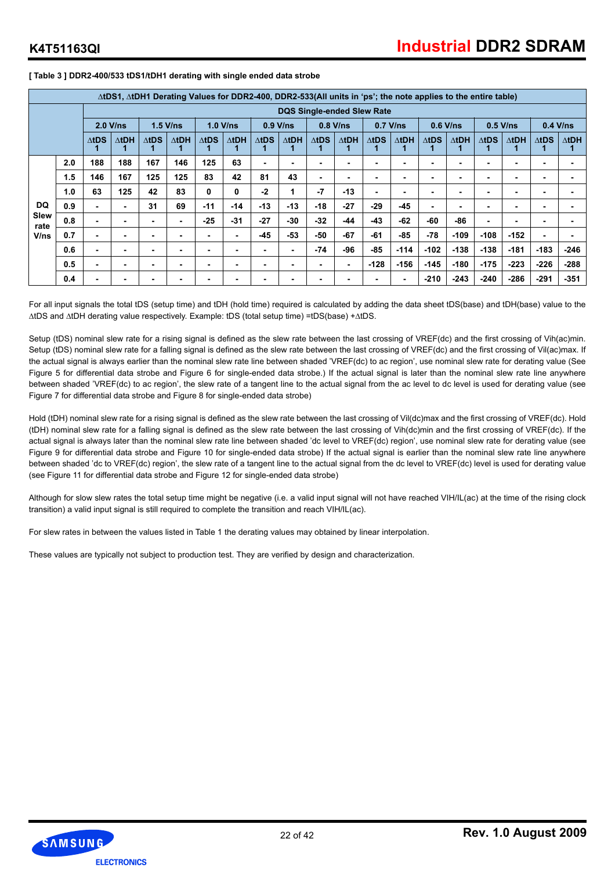|              | ∆tDS1, ∆tDH1 Derating Values for DDR2-400, DDR2-533(All units in 'ps'; the note applies to the entire table)<br><b>DQS Single-ended Slew Rate</b> |              |              |              |              |              |               |                 |                          |              |              |              |               |              |              |                 |              |              |              |
|--------------|---------------------------------------------------------------------------------------------------------------------------------------------------|--------------|--------------|--------------|--------------|--------------|---------------|-----------------|--------------------------|--------------|--------------|--------------|---------------|--------------|--------------|-----------------|--------------|--------------|--------------|
|              |                                                                                                                                                   |              |              |              |              |              |               |                 |                          |              |              |              |               |              |              |                 |              |              |              |
|              |                                                                                                                                                   | $2.0$ V/ns   |              |              | $1.5$ V/ns   |              | $1.0$ V/ns    |                 | $0.9$ V/ns               |              | $0.8$ V/ns   |              | $0.7$ V/ns    |              | $0.6$ V/ns   |                 | $0.5$ V/ns   |              | $0.4$ V/ns   |
|              |                                                                                                                                                   | $\Delta$ tDS | $\Delta$ tDH | $\Delta$ tDS | $\Delta$ tDH | $\Delta$ tDS | $\Delta t$ DH | $\triangle$ tDS | $\Delta t$ DH            | $\Delta$ tDS | $\Delta$ tDH | $\Delta$ tDS | $\Delta t$ DH | $\Delta$ tDS | $\Delta$ tDH | $\triangle$ tDS | $\Delta$ tDH | $\Delta$ tDS | $\Delta$ tDH |
|              | 2.0                                                                                                                                               | 188          | 188          | 167          | 146          | 125          | 63            | ۰               |                          |              |              | ۰            |               | ۰            |              |                 |              |              |              |
|              | 1.5                                                                                                                                               | 146          | 167          | 125          | 125          | 83           | 42            | 81              | 43                       |              |              | ۰            | ۰             | ۰            |              | ۰               |              |              |              |
|              | 1.0                                                                                                                                               | 63           | 125          | 42           | 83           | 0            | 0             | $-2$            |                          | $-7$         | $-13$        | ۰            | ٠             | ۰            |              | ۰               |              |              |              |
| <b>DQ</b>    | 0.9                                                                                                                                               |              |              | 31           | 69           | $-11$        | $-14$         | $-13$           | $-13$                    | $-18$        | $-27$        | $-29$        | $-45$         | ۰            |              | ۰               | -            |              |              |
| Slew<br>rate | 0.8                                                                                                                                               |              |              | ۰            | ۰            | $-25$        | $-31$         | $-27$           | $-30$                    | $-32$        | -44          | $-43$        | $-62$         | -60          | -86          | ۰               |              |              |              |
| V/ns         | 0.7                                                                                                                                               |              |              | ۰            | -            |              |               | $-45$           | $-53$                    | -50          | $-67$        | $-61$        | $-85$         | $-78$        | $-109$       | $-108$          | $-152$       |              |              |
|              | 0.6                                                                                                                                               |              |              | ۰            | ۰            |              |               |                 |                          | $-74$        | -96          | $-85$        | $-114$        | $-102$       | $-138$       | $-138$          | $-181$       | $-183$       | $-246$       |
|              | 0.5                                                                                                                                               |              |              | ۰            | ۰            |              |               |                 | $\overline{\phantom{0}}$ |              |              | $-128$       | $-156$        | $-145$       | $-180$       | $-175$          | $-223$       | $-226$       | $-288$       |
|              | 0.4                                                                                                                                               |              |              | -            | -            |              |               |                 |                          |              |              | ۰            | ۰             | $-210$       | $-243$       | $-240$          | $-286$       | $-291$       | $-351$       |

**[ Table 3 ] DDR2-400/533 tDS1/tDH1 derating with single ended data strobe**

For all input signals the total tDS (setup time) and tDH (hold time) required is calculated by adding the data sheet tDS(base) and tDH(base) value to the ∆tDS and ∆tDH derating value respectively. Example: tDS (total setup time) =tDS(base) +∆tDS.

Setup (tDS) nominal slew rate for a rising signal is defined as the slew rate between the last crossing of VREF(dc) and the first crossing of Vih(ac)min. Setup (tDS) nominal slew rate for a falling signal is defined as the slew rate between the last crossing of VREF(dc) and the first crossing of Vil(ac)max. If the actual signal is always earlier than the nominal slew rate line between shaded 'VREF(dc) to ac region', use nominal slew rate for derating value (See Figure 5 for differential data strobe and Figure 6 for single-ended data strobe.) If the actual signal is later than the nominal slew rate line anywhere between shaded 'VREF(dc) to ac region', the slew rate of a tangent line to the actual signal from the ac level to dc level is used for derating value (see Figure 7 for differential data strobe and Figure 8 for single-ended data strobe)

Hold (tDH) nominal slew rate for a rising signal is defined as the slew rate between the last crossing of Vil(dc)max and the first crossing of VREF(dc). Hold (tDH) nominal slew rate for a falling signal is defined as the slew rate between the last crossing of Vih(dc)min and the first crossing of VREF(dc). If the actual signal is always later than the nominal slew rate line between shaded 'dc level to VREF(dc) region', use nominal slew rate for derating value (see Figure 9 for differential data strobe and Figure 10 for single-ended data strobe) If the actual signal is earlier than the nominal slew rate line anywhere between shaded 'dc to VREF(dc) region', the slew rate of a tangent line to the actual signal from the dc level to VREF(dc) level is used for derating value (see Figure 11 for differential data strobe and Figure 12 for single-ended data strobe)

Although for slow slew rates the total setup time might be negative (i.e. a valid input signal will not have reached VIH/IL(ac) at the time of the rising clock transition) a valid input signal is still required to complete the transition and reach VIH/IL(ac).

For slew rates in between the values listed in Table 1 the derating values may obtained by linear interpolation.

These values are typically not subject to production test. They are verified by design and characterization.

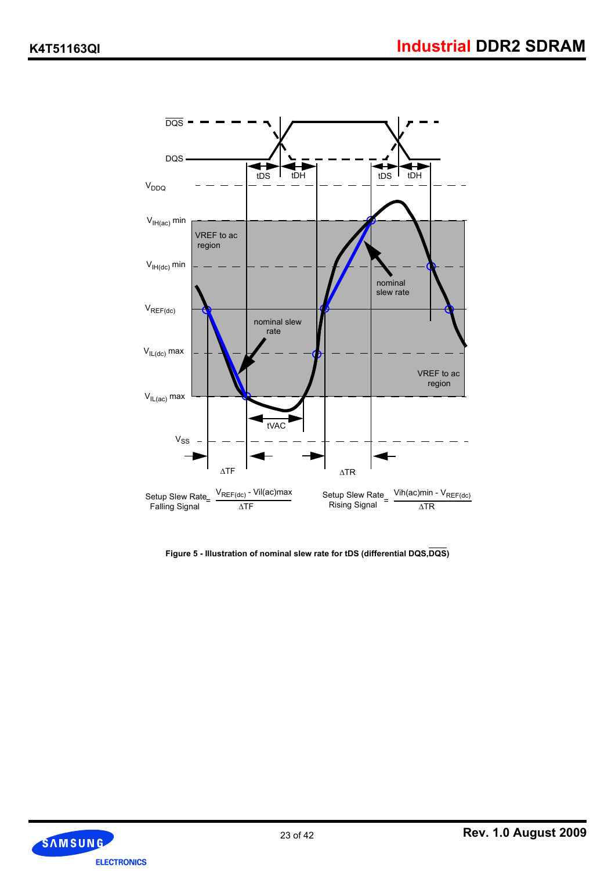

**Figure 5 - Illustration of nominal slew rate for tDS (differential DQS,DQS)**

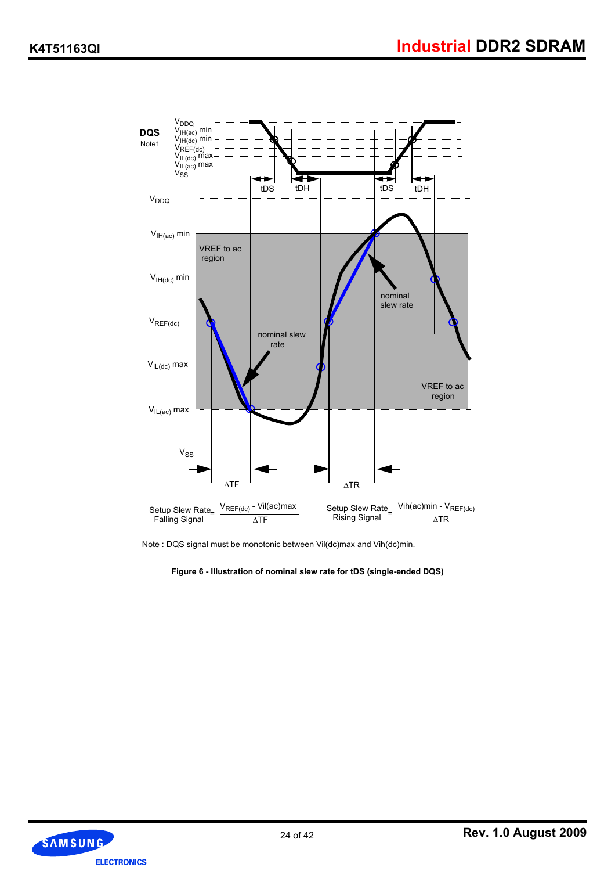

Note : DQS signal must be monotonic between Vil(dc)max and Vih(dc)min.

**Figure 6 - Illustration of nominal slew rate for tDS (single-ended DQS)**

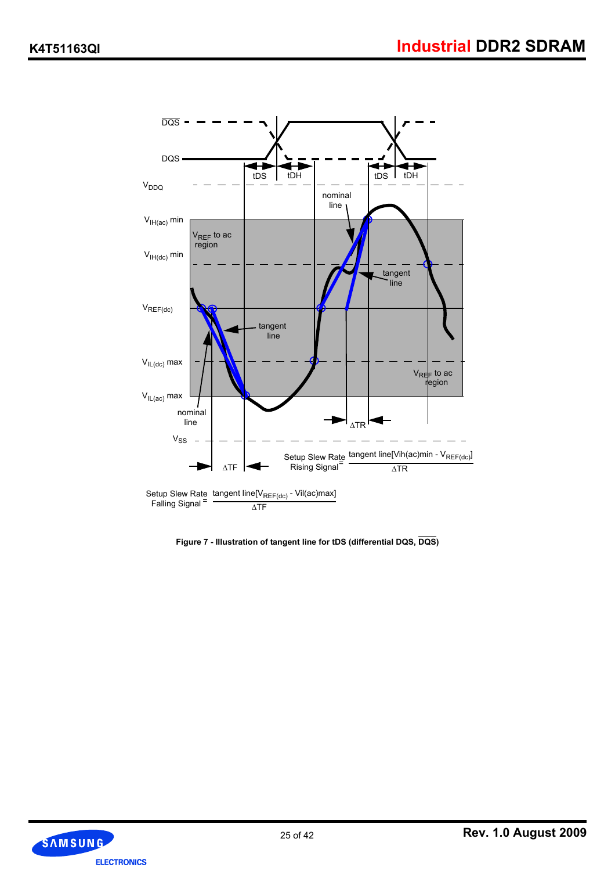

**Figure 7 - Illustration of tangent line for tDS (differential DQS, DQS)**

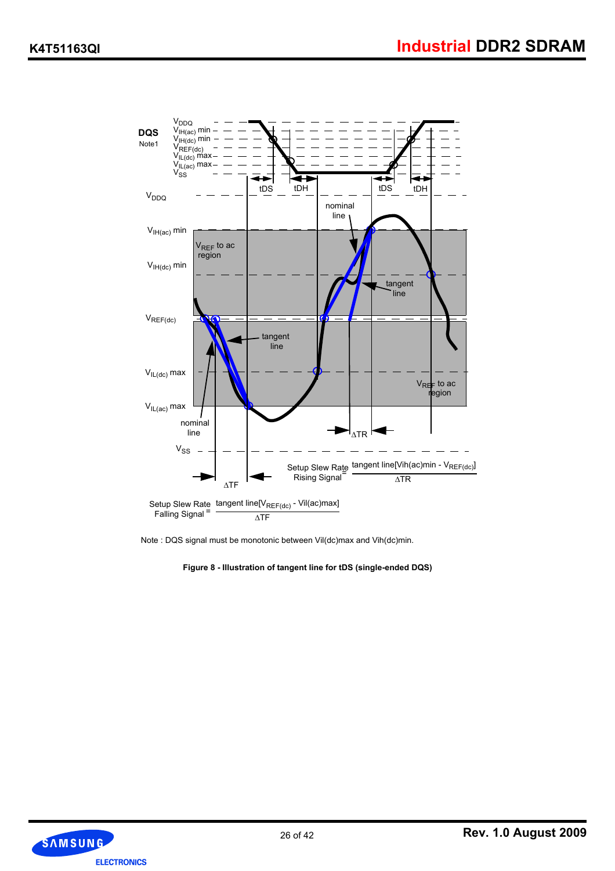

Note : DQS signal must be monotonic between Vil(dc)max and Vih(dc)min.

**Figure 8 - Illustration of tangent line for tDS (single-ended DQS)**

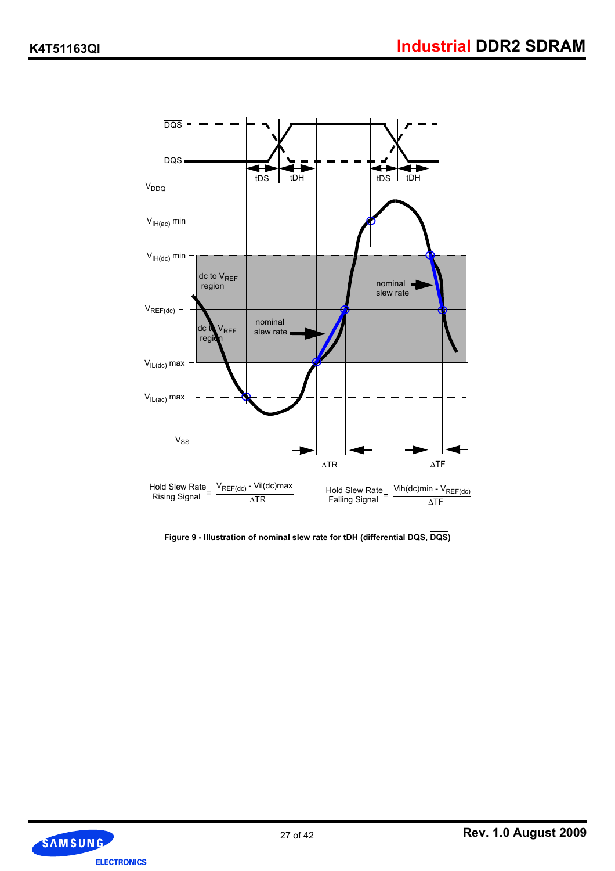

**Figure 9 - Illustration of nominal slew rate for tDH (differential DQS, DQS)**

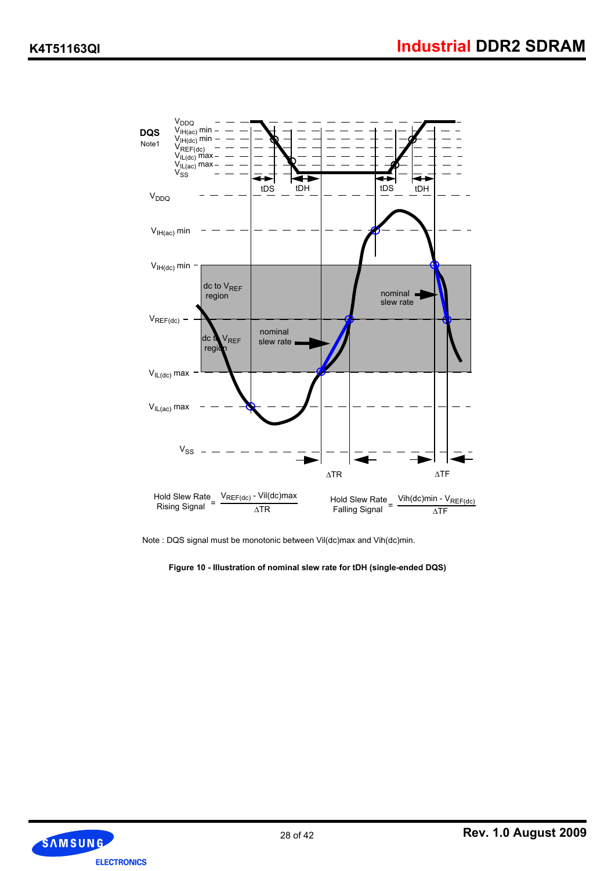

Note : DQS signal must be monotonic between Vil(dc)max and Vih(dc)min.

**Figure 10 - Illustration of nominal slew rate for tDH (single-ended DQS)**

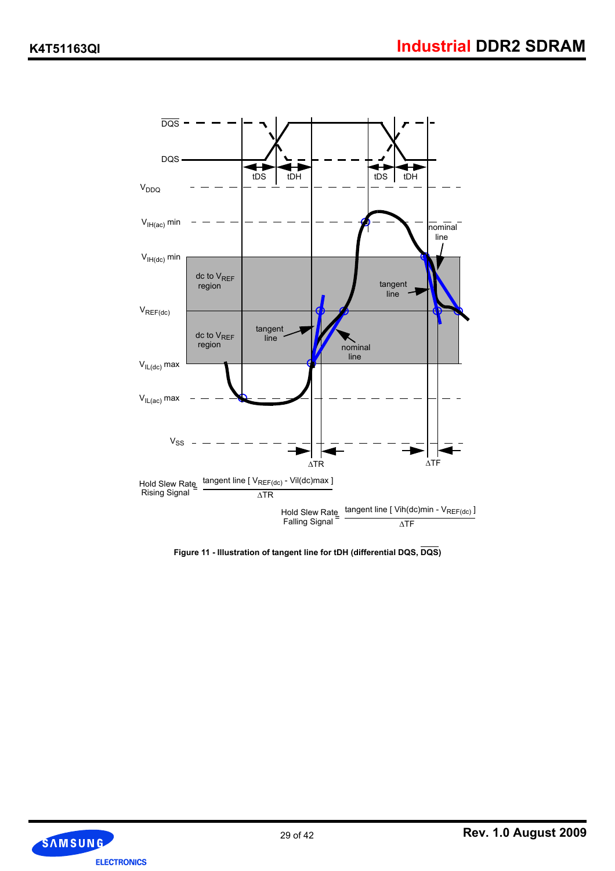

**Figure 11 - Illustration of tangent line for tDH (differential DQS, DQS)**

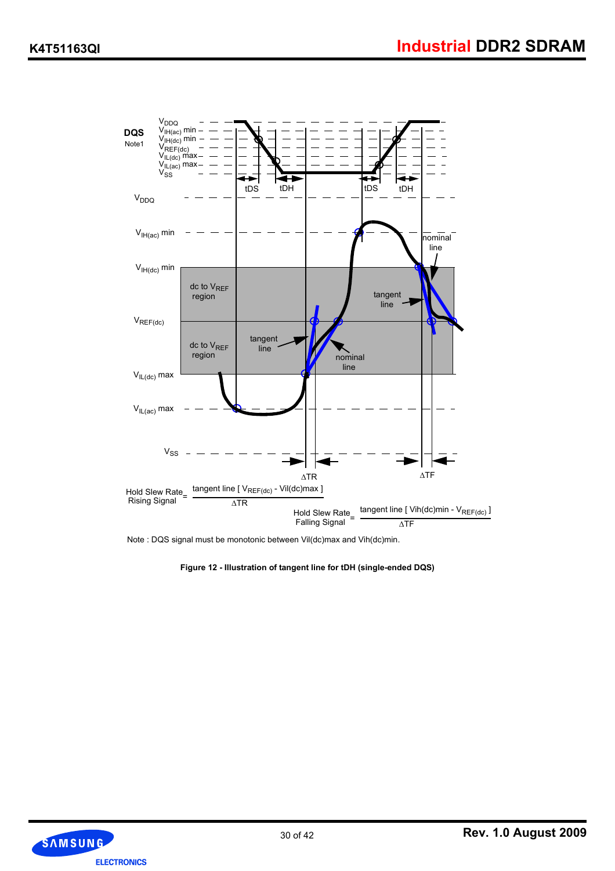

Note : DQS signal must be monotonic between Vil(dc)max and Vih(dc)min.



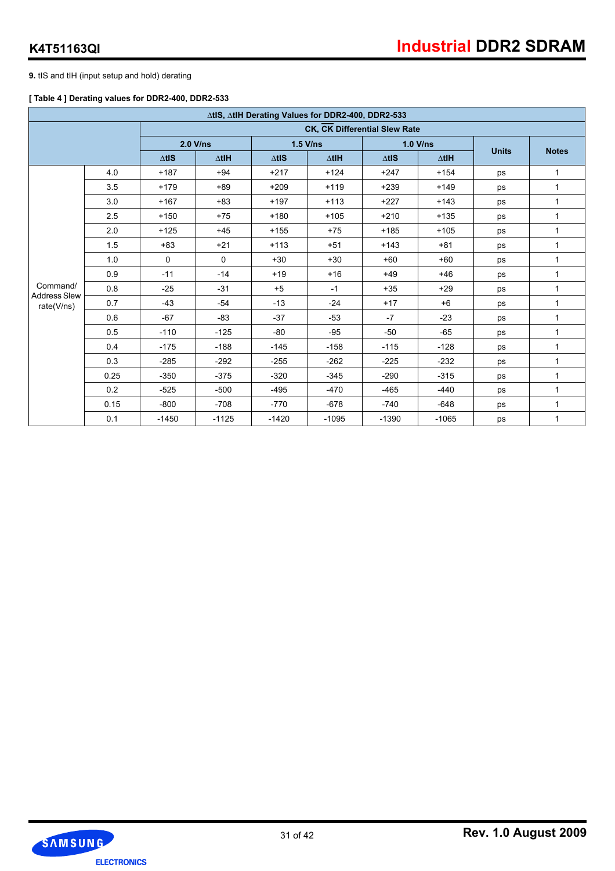**9.** tIS and tIH (input setup and hold) derating

#### **[ Table 4 ] Derating values for DDR2-400, DDR2-533**

|                                   |      |               |              |                  | ∆tlS, ∆tlH Derating Values for DDR2-400, DDR2-533 |               |                 |              |              |
|-----------------------------------|------|---------------|--------------|------------------|---------------------------------------------------|---------------|-----------------|--------------|--------------|
|                                   |      |               |              |                  | CK, CK Differential Slew Rate                     |               |                 |              |              |
|                                   |      |               | $2.0$ V/ns   |                  | $1.5$ V/ns                                        |               | 1.0 V/ns        |              | <b>Notes</b> |
|                                   |      | $\Delta t$ IS | $\Delta$ tlH | $\triangle t$ IS | $\Delta$ tlH                                      | $\Delta t$ IS | $\triangle$ tlH | <b>Units</b> |              |
|                                   | 4.0  | $+187$        | $+94$        | $+217$           | $+124$                                            | $+247$        | $+154$          | ps           | 1            |
|                                   | 3.5  | $+179$        | $+89$        | $+209$           | $+119$                                            | $+239$        | $+149$          | ps           | $\mathbf{1}$ |
|                                   | 3.0  | $+167$        | $+83$        | $+197$           | $+113$                                            | $+227$        | $+143$          | ps           | $\mathbf{1}$ |
|                                   | 2.5  | $+150$        | $+75$        | $+180$           | $+105$                                            | $+210$        | $+135$          | ps           | 1            |
|                                   | 2.0  | $+125$        | $+45$        | $+155$           | $+75$                                             | $+185$        | $+105$          | ps           | 1            |
|                                   | 1.5  | $+83$         | $+21$        | $+113$           | $+51$                                             | $+143$        | $+81$           | ps           | $\mathbf{1}$ |
|                                   | 1.0  | 0             | 0            | $+30$            | $+30$                                             | $+60$         | $+60$           | ps           | $\mathbf{1}$ |
|                                   | 0.9  | $-11$         | $-14$        | $+19$            | $+16$                                             | $+49$         | $+46$           | ps           | 1            |
| Command/                          | 0.8  | $-25$         | $-31$        | $+5$             | $-1$                                              | $+35$         | $+29$           | ps           | $\mathbf{1}$ |
| <b>Address Slew</b><br>rate(V/ns) | 0.7  | $-43$         | $-54$        | $-13$            | $-24$                                             | $+17$         | $+6$            | ps           | $\mathbf{1}$ |
|                                   | 0.6  | $-67$         | $-83$        | $-37$            | $-53$                                             | $-7$          | $-23$           | ps           | $\mathbf{1}$ |
|                                   | 0.5  | $-110$        | $-125$       | $-80$            | $-95$                                             | $-50$         | $-65$           | ps           | 1            |
|                                   | 0.4  | $-175$        | $-188$       | $-145$           | $-158$                                            | $-115$        | $-128$          | ps           | 1            |
|                                   | 0.3  | $-285$        | $-292$       | $-255$           | $-262$                                            | $-225$        | $-232$          | ps           | $\mathbf{1}$ |
|                                   | 0.25 | $-350$        | $-375$       | $-320$           | $-345$                                            | $-290$        | $-315$          | ps           | 1            |
|                                   | 0.2  | $-525$        | $-500$       | $-495$           | $-470$                                            | $-465$        | $-440$          | ps           | 1            |
|                                   | 0.15 | $-800$        | $-708$       | $-770$           | $-678$                                            | $-740$        | $-648$          | ps           | 1            |
|                                   | 0.1  | $-1450$       | $-1125$      | $-1420$          | $-1095$                                           | $-1390$       | $-1065$         | ps           | $\mathbf{1}$ |

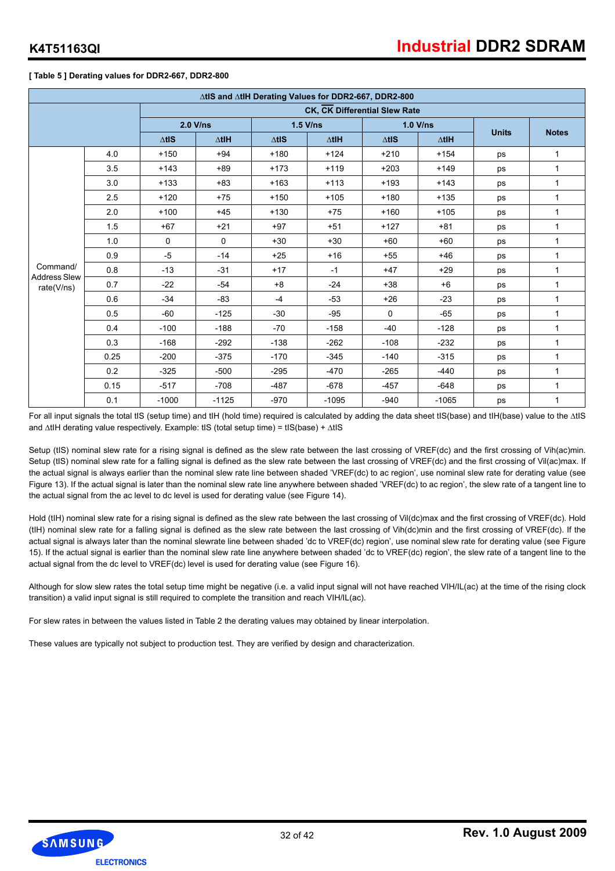#### **[ Table 5 ] Derating values for DDR2-667, DDR2-800**

|                                 |      |               |                 |               | ∆tlS and ∆tlH Derating Values for DDR2-667, DDR2-800 |               |                 |              |              |
|---------------------------------|------|---------------|-----------------|---------------|------------------------------------------------------|---------------|-----------------|--------------|--------------|
|                                 |      |               |                 |               | CK, CK Differential Slew Rate                        |               |                 |              |              |
|                                 |      |               | $2.0$ V/ns      |               | $1.5$ V/ns                                           |               | $1.0$ V/ns      | <b>Units</b> | <b>Notes</b> |
|                                 |      | $\Delta t$ IS | $\triangle$ tlH | $\Delta t$ IS | $\triangle$ tlH                                      | $\Delta t$ IS | $\triangle$ tlH |              |              |
|                                 | 4.0  | $+150$        | $+94$           | $+180$        | $+124$                                               | $+210$        | $+154$          | ps           | 1            |
|                                 | 3.5  | $+143$        | $+89$           | $+173$        | $+119$                                               | $+203$        | $+149$          | ps           | 1            |
|                                 | 3.0  | $+133$        | $+83$           | $+163$        | $+113$                                               | $+193$        | $+143$          | ps           | 1            |
|                                 | 2.5  | $+120$        | $+75$           | $+150$        | $+105$                                               | $+180$        | $+135$          | ps           | 1            |
|                                 | 2.0  | $+100$        | $+45$           | $+130$        | $+75$                                                | $+160$        | $+105$          | ps           | 1            |
|                                 | 1.5  | $+67$         | $+21$           | $+97$         | $+51$                                                | $+127$        | $+81$           | ps           | $\mathbf{1}$ |
|                                 | 1.0  | $\mathbf 0$   | 0               | $+30$         | $+30$                                                | $+60$         | $+60$           | ps           | $\mathbf{1}$ |
|                                 | 0.9  | $-5$          | $-14$           | $+25$         | $+16$                                                | $+55$         | $+46$           | ps           | 1            |
| Command/<br><b>Address Slew</b> | 0.8  | $-13$         | $-31$           | $+17$         | $-1$                                                 | $+47$         | $+29$           | ps           | $\mathbf{1}$ |
| rate(V/ns)                      | 0.7  | $-22$         | $-54$           | $+8$          | $-24$                                                | $+38$         | $+6$            | ps           | $\mathbf{1}$ |
|                                 | 0.6  | $-34$         | $-83$           | $-4$          | $-53$                                                | $+26$         | $-23$           | ps           | 1            |
|                                 | 0.5  | $-60$         | $-125$          | $-30$         | $-95$                                                | $\Omega$      | $-65$           | ps           | 1            |
|                                 | 0.4  | $-100$        | $-188$          | $-70$         | $-158$                                               | $-40$         | $-128$          | ps           | $\mathbf{1}$ |
|                                 | 0.3  | $-168$        | $-292$          | $-138$        | $-262$                                               | $-108$        | $-232$          | ps           | 1            |
|                                 | 0.25 | $-200$        | $-375$          | $-170$        | $-345$                                               | $-140$        | $-315$          | ps           | 1            |
|                                 | 0.2  | $-325$        | $-500$          | $-295$        | $-470$                                               | $-265$        | $-440$          | ps           | 1            |
|                                 | 0.15 | $-517$        | $-708$          | $-487$        | $-678$                                               | $-457$        | $-648$          | ps           | $\mathbf{1}$ |
|                                 | 0.1  | $-1000$       | $-1125$         | $-970$        | $-1095$                                              | $-940$        | $-1065$         | ps           | $\mathbf{1}$ |

For all input signals the total tIS (setup time) and tIH (hold time) required is calculated by adding the data sheet tIS(base) and tIH(base) value to the ∆tIS and ∆tIH derating value respectively. Example: tIS (total setup time) = tIS(base) + ∆tIS

Setup (tIS) nominal slew rate for a rising signal is defined as the slew rate between the last crossing of VREF(dc) and the first crossing of Vih(ac)min. Setup (tIS) nominal slew rate for a falling signal is defined as the slew rate between the last crossing of VREF(dc) and the first crossing of Vil(ac)max. If the actual signal is always earlier than the nominal slew rate line between shaded 'VREF(dc) to ac region', use nominal slew rate for derating value (see Figure 13). If the actual signal is later than the nominal slew rate line anywhere between shaded 'VREF(dc) to ac region', the slew rate of a tangent line to the actual signal from the ac level to dc level is used for derating value (see Figure 14).

Hold (tlH) nominal slew rate for a rising signal is defined as the slew rate between the last crossing of Vil(dc)max and the first crossing of VREF(dc). Hold (tIH) nominal slew rate for a falling signal is defined as the slew rate between the last crossing of Vih(dc)min and the first crossing of VREF(dc). If the actual signal is always later than the nominal slewrate line between shaded 'dc to VREF(dc) region', use nominal slew rate for derating value (see Figure 15). If the actual signal is earlier than the nominal slew rate line anywhere between shaded 'dc to VREF(dc) region', the slew rate of a tangent line to the actual signal from the dc level to VREF(dc) level is used for derating value (see Figure 16).

Although for slow slew rates the total setup time might be negative (i.e. a valid input signal will not have reached VIH/IL(ac) at the time of the rising clock transition) a valid input signal is still required to complete the transition and reach VIH/IL(ac).

For slew rates in between the values listed in Table 2 the derating values may obtained by linear interpolation.

These values are typically not subject to production test. They are verified by design and characterization.

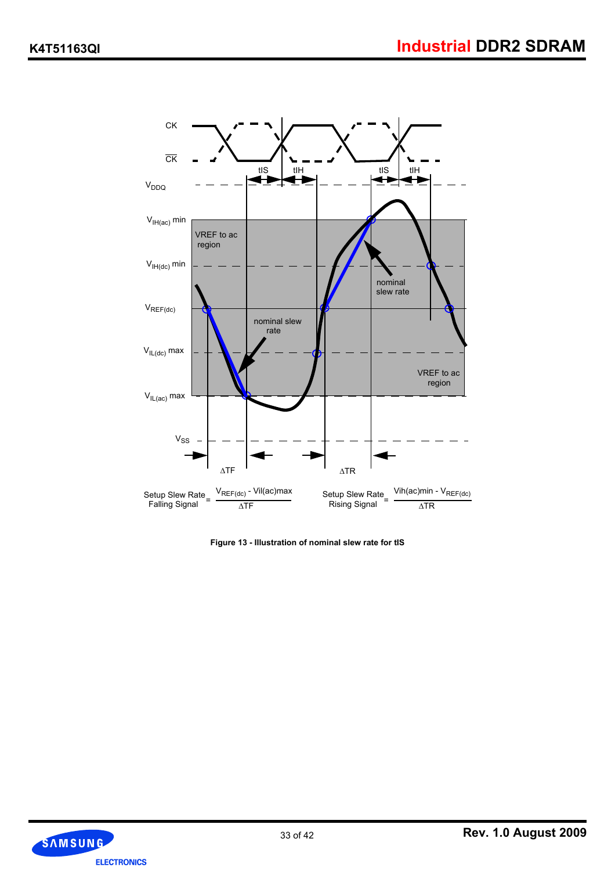

**Figure 13 - Illustration of nominal slew rate for tIS**

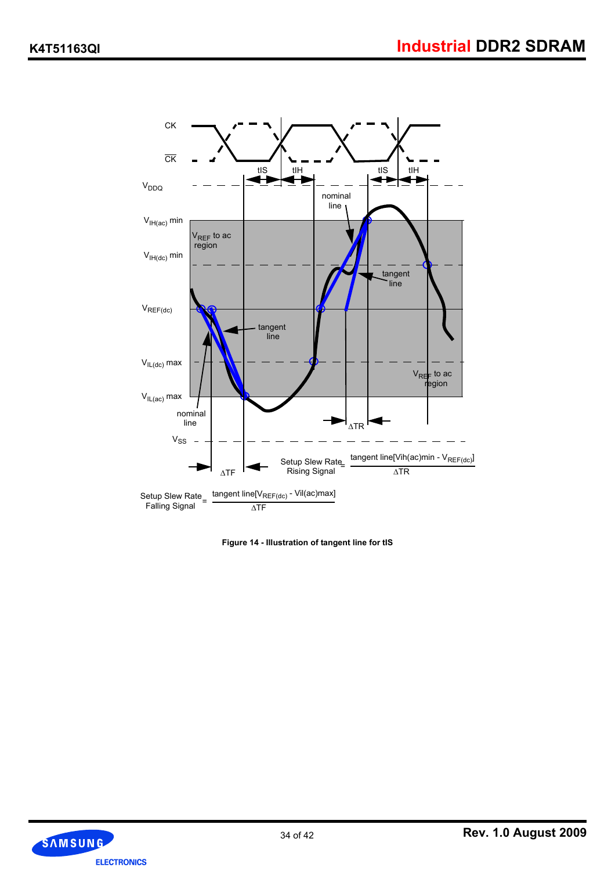

**Figure 14 - Illustration of tangent line for tIS**

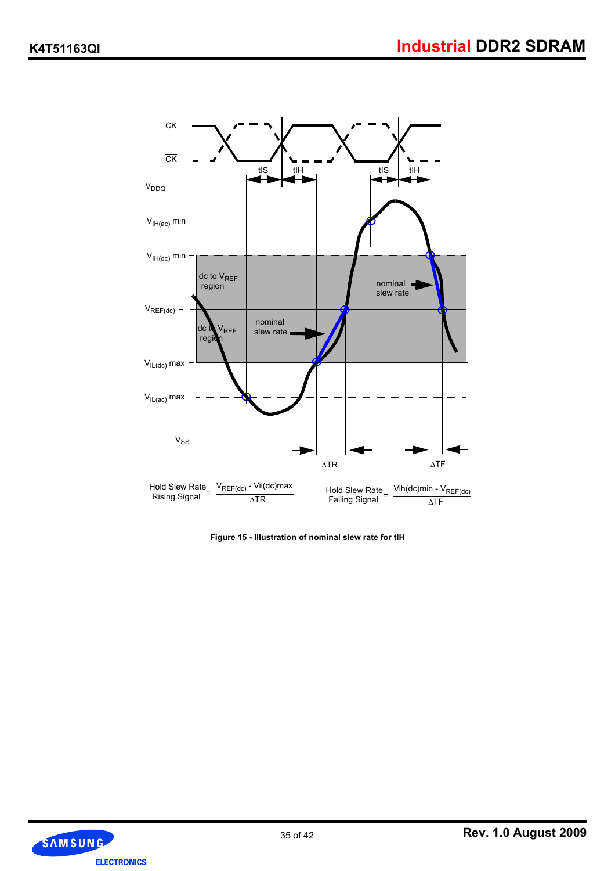

**Figure 15 - Illustration of nominal slew rate for tIH**

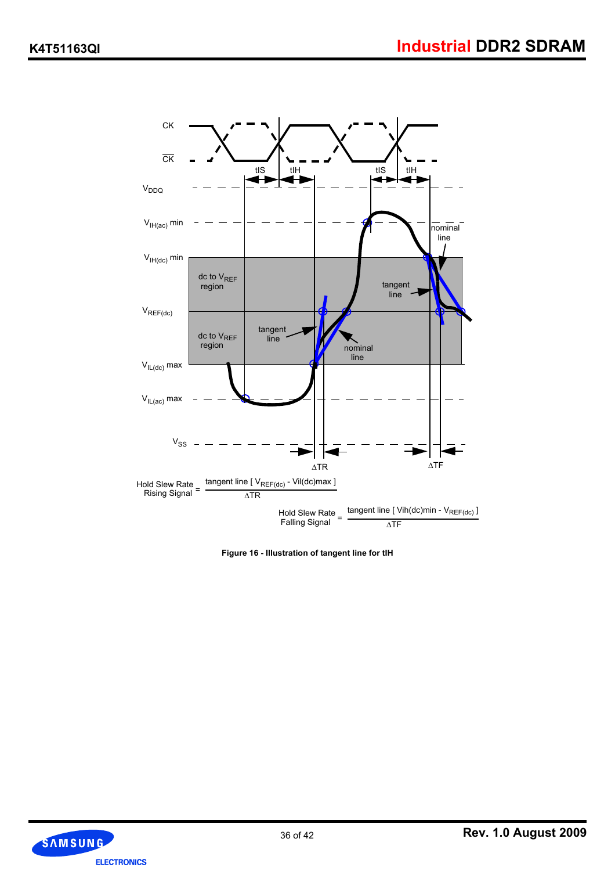

**Figure 16 - Illustration of tangent line for tIH**

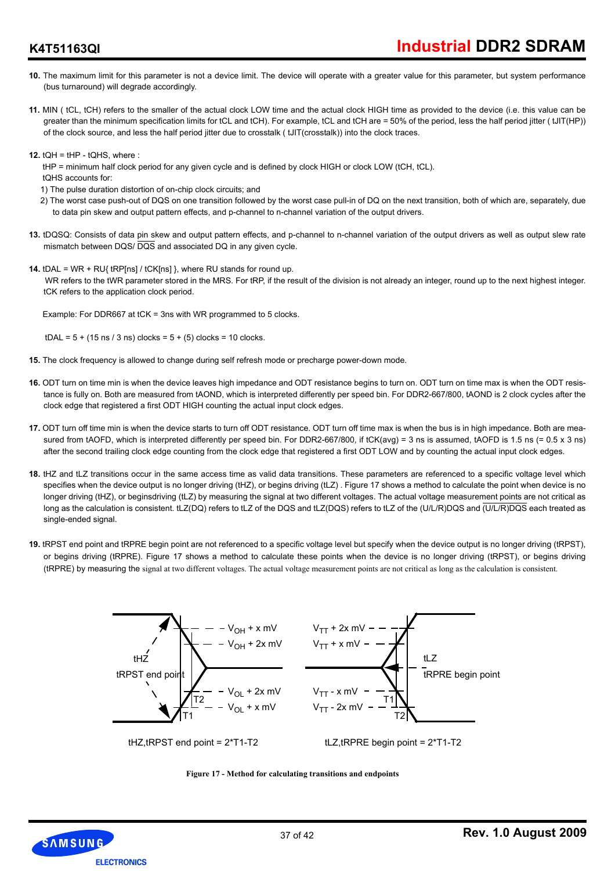## **K4T51163QI**

- **10.** The maximum limit for this parameter is not a device limit. The device will operate with a greater value for this parameter, but system performance (bus turnaround) will degrade accordingly.
- **11.** MIN ( tCL, tCH) refers to the smaller of the actual clock LOW time and the actual clock HIGH time as provided to the device (i.e. this value can be greater than the minimum specification limits for tCL and tCH). For example, tCL and tCH are = 50% of the period, less the half period jitter ( tJIT(HP)) of the clock source, and less the half period jitter due to crosstalk ( tJIT(crosstalk)) into the clock traces.
- **12.** tQH = tHP tQHS, where :
	- tHP = minimum half clock period for any given cycle and is defined by clock HIGH or clock LOW (tCH, tCL).
	- tQHS accounts for:
	- 1) The pulse duration distortion of on-chip clock circuits; and
	- 2) The worst case push-out of DQS on one transition followed by the worst case pull-in of DQ on the next transition, both of which are, separately, due to data pin skew and output pattern effects, and p-channel to n-channel variation of the output drivers.
- **13.** tDQSQ: Consists of data pin skew and output pattern effects, and p-channel to n-channel variation of the output drivers as well as output slew rate mismatch between DQS/  $\overline{DQS}$  and associated DQ in any given cycle.
- **14.** tDAL = WR + RU{ tRP[ns] / tCK[ns] }, where RU stands for round up. WR refers to the tWR parameter stored in the MRS. For tRP, if the result of the division is not already an integer, round up to the next highest integer. tCK refers to the application clock period.

Example: For DDR667 at tCK = 3ns with WR programmed to 5 clocks.

 $tDAL = 5 + (15 \text{ ns} / 3 \text{ ns})$  clocks =  $5 + (5)$  clocks = 10 clocks.

- **15.** The clock frequency is allowed to change during self refresh mode or precharge power-down mode.
- **16.** ODT turn on time min is when the device leaves high impedance and ODT resistance begins to turn on. ODT turn on time max is when the ODT resistance is fully on. Both are measured from tAOND, which is interpreted differently per speed bin. For DDR2-667/800, tAOND is 2 clock cycles after the clock edge that registered a first ODT HIGH counting the actual input clock edges.
- **17.** ODT turn off time min is when the device starts to turn off ODT resistance. ODT turn off time max is when the bus is in high impedance. Both are measured from tAOFD, which is interpreted differently per speed bin. For DDR2-667/800, if tCK(avg) = 3 ns is assumed, tAOFD is 1.5 ns (= 0.5 x 3 ns) after the second trailing clock edge counting from the clock edge that registered a first ODT LOW and by counting the actual input clock edges.
- **18.** tHZ and tLZ transitions occur in the same access time as valid data transitions. These parameters are referenced to a specific voltage level which specifies when the device output is no longer driving (tHZ), or begins driving (tLZ). Figure 17 shows a method to calculate the point when device is no longer driving (tHZ), or beginsdriving (tLZ) by measuring the signal at two different voltages. The actual voltage measurement points are not critical as long as the calculation is consistent. tLZ(DQ) refers to tLZ of the DQS and tLZ(DQS) refers to tLZ of the (U/L/R)DQS and (U/L/R)DQS each treated as single-ended signal.
- **19.** tRPST end point and tRPRE begin point are not referenced to a specific voltage level but specify when the device output is no longer driving (tRPST), or begins driving (tRPRE). Figure 17 shows a method to calculate these points when the device is no longer driving (tRPST), or begins driving (tRPRE) by measuring the signal at two different voltages. The actual voltage measurement points are not critical as long as the calculation is consistent.





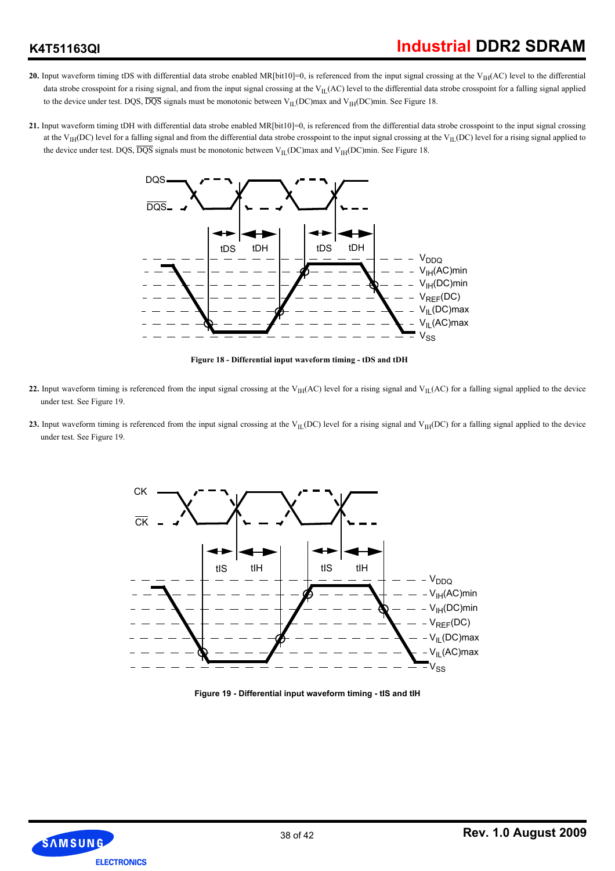## **K4T51163QI**

- **20.** Input waveform timing tDS with differential data strobe enabled MR[bit10]=0, is referenced from the input signal crossing at the V<sub>IH</sub>(AC) level to the differential data strobe crosspoint for a rising signal, and from the input signal crossing at the  $V_{IL}(AC)$  level to the differential data strobe crosspoint for a falling signal applied to the device under test. DQS,  $\overline{DQS}$  signals must be monotonic between V<sub>IL</sub>(DC)max and V<sub>IH</sub>(DC)min. See Figure 18.
- **21.** Input waveform timing tDH with differential data strobe enabled MR[bit10]=0, is referenced from the differential data strobe crosspoint to the input signal crossing at the V<sub>IH</sub>(DC) level for a falling signal and from the differential data strobe crosspoint to the input signal crossing at the V<sub>IL</sub>(DC) level for a rising signal applied to the device under test. DQS,  $\overline{DQS}$  signals must be monotonic between V<sub>IL</sub>(DC)max and V<sub>IH</sub>(DC)min. See Figure 18.



**Figure 18 - Differential input waveform timing - tDS and tDH**

- 22. Input waveform timing is referenced from the input signal crossing at the V<sub>IH</sub>(AC) level for a rising signal and V<sub>IL</sub>(AC) for a falling signal applied to the device under test. See Figure 19.
- **23.** Input waveform timing is referenced from the input signal crossing at the V<sub>IL</sub>(DC) level for a rising signal and V<sub>IH</sub>(DC) for a falling signal applied to the device under test. See Figure 19.



**Figure 19 - Differential input waveform timing - tIS and tIH**

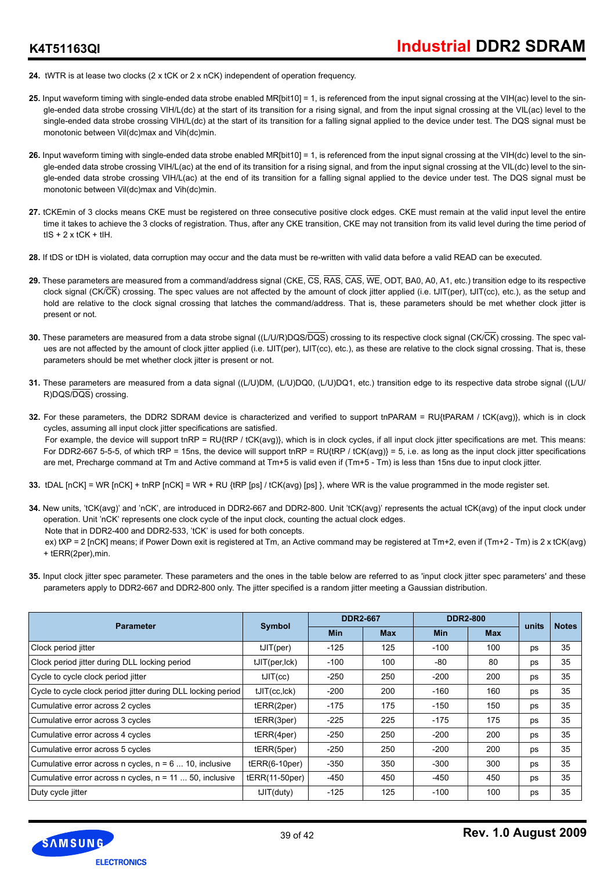- **24.** tWTR is at lease two clocks (2 x tCK or 2 x nCK) independent of operation frequency.
- 25. Input waveform timing with single-ended data strobe enabled MR[bit10] = 1, is referenced from the input signal crossing at the VIH(ac) level to the single-ended data strobe crossing VIH/L(dc) at the start of its transition for a rising signal, and from the input signal crossing at the VIL(ac) level to the single-ended data strobe crossing VIH/L(dc) at the start of its transition for a falling signal applied to the device under test. The DQS signal must be monotonic between Vil(dc)max and Vih(dc)min.
- **26.** Input waveform timing with single-ended data strobe enabled MR[bit10] = 1, is referenced from the input signal crossing at the VIH(dc) level to the single-ended data strobe crossing VIH/L(ac) at the end of its transition for a rising signal, and from the input signal crossing at the VIL(dc) level to the single-ended data strobe crossing VIH/L(ac) at the end of its transition for a falling signal applied to the device under test. The DQS signal must be monotonic between Vil(dc)max and Vih(dc)min.
- **27.** tCKEmin of 3 clocks means CKE must be registered on three consecutive positive clock edges. CKE must remain at the valid input level the entire time it takes to achieve the 3 clocks of registration. Thus, after any CKE transition, CKE may not transition from its valid level during the time period of  $tIS + 2x$  tCK + tIH.
- **28.** If tDS or tDH is violated, data corruption may occur and the data must be re-written with valid data before a valid READ can be executed.
- **29.** These parameters are measured from a command/address signal (CKE, CS, RAS, CAS, WE, ODT, BA0, A0, A1, etc.) transition edge to its respective clock signal (CK/ $\overline{\text{CK}}$ ) crossing. The spec values are not affected by the amount of clock jitter applied (i.e. tJIT(per), tJIT(cc), etc.), as the setup and hold are relative to the clock signal crossing that latches the command/address. That is, these parameters should be met whether clock jitter is present or not.
- **30.** These parameters are measured from a data strobe signal ((L/U/R)DQS/DQS) crossing to its respective clock signal (CK/CK) crossing. The spec values are not affected by the amount of clock jitter applied (i.e. tJIT(per), tJIT(cc), etc.), as these are relative to the clock signal crossing. That is, these parameters should be met whether clock jitter is present or not.
- **31.** These parameters are measured from a data signal ((L/U)DM, (L/U)DQ0, (L/U)DQ1, etc.) transition edge to its respective data strobe signal ((L/U/ R)DQS/DQS) crossing.
- **32.** For these parameters, the DDR2 SDRAM device is characterized and verified to support tnPARAM = RU{tPARAM / tCK(avg)}, which is in clock cycles, assuming all input clock jitter specifications are satisfied. For example, the device will support tnRP = RU{tRP / tCK(avg)}, which is in clock cycles, if all input clock jitter specifications are met. This means: For DDR2-667 5-5-5, of which tRP = 15ns, the device will support tnRP = RU{tRP / tCK(avg)} = 5, i.e. as long as the input clock jitter specifications are met, Precharge command at Tm and Active command at Tm+5 is valid even if (Tm+5 - Tm) is less than 15ns due to input clock jitter.
- **33.** tDAL [nCK] = WR [nCK] + tnRP [nCK] = WR + RU {tRP [ps] / tCK(avg) [ps] }, where WR is the value programmed in the mode register set.
- **34.** New units, 'tCK(avg)' and 'nCK', are introduced in DDR2-667 and DDR2-800. Unit 'tCK(avg)' represents the actual tCK(avg) of the input clock under operation. Unit 'nCK' represents one clock cycle of the input clock, counting the actual clock edges.
	- Note that in DDR2-400 and DDR2-533, 'tCK' is used for both concepts.
	- ex) tXP = 2 [nCK] means; if Power Down exit is registered at Tm, an Active command may be registered at Tm+2, even if (Tm+2 Tm) is 2 x tCK(avg) + tERR(2per),min.
- 35. Input clock jitter spec parameter. These parameters and the ones in the table below are referred to as 'input clock jitter spec parameters' and these parameters apply to DDR2-667 and DDR2-800 only. The jitter specified is a random jitter meeting a Gaussian distribution.

| <b>Parameter</b>                                             | <b>Symbol</b>   | <b>DDR2-667</b> |            | <b>DDR2-800</b> |            | units | <b>Notes</b> |
|--------------------------------------------------------------|-----------------|-----------------|------------|-----------------|------------|-------|--------------|
|                                                              |                 | <b>Min</b>      | <b>Max</b> | <b>Min</b>      | <b>Max</b> |       |              |
| Clock period jitter                                          | tJIT(per)       | $-125$          | 125        | $-100$          | 100        | ps    | 35           |
| Clock period jitter during DLL locking period                | tJIT(per, lck)  | $-100$          | 100        | -80             | 80         | ps    | 35           |
| Cycle to cycle clock period jitter                           | tJIT(cc)        | $-250$          | 250        | $-200$          | 200        | ps    | 35           |
| Cycle to cycle clock period jitter during DLL locking period | tJIT(cc, lck)   | $-200$          | 200        | $-160$          | 160        | ps    | 35           |
| Cumulative error across 2 cycles                             | tERR(2per)      | $-175$          | 175        | $-150$          | 150        | ps    | 35           |
| Cumulative error across 3 cycles                             | tERR(3per)      | $-225$          | 225        | $-175$          | 175        | ps    | 35           |
| Cumulative error across 4 cycles                             | tERR(4per)      | $-250$          | 250        | $-200$          | 200        | ps    | 35           |
| Cumulative error across 5 cycles                             | tERR(5per)      | $-250$          | 250        | $-200$          | 200        | ps    | 35           |
| Cumulative error across n cycles, $n = 6$ 10, inclusive      | $tERR(6-10per)$ | $-350$          | 350        | $-300$          | 300        | ps    | 35           |
| Cumulative error across n cycles, n = 11  50, inclusive      | tERR(11-50per)  | -450            | 450        | $-450$          | 450        | ps    | 35           |
| Duty cycle jitter                                            | tJIT(duty)      | $-125$          | 125        | $-100$          | 100        | ps    | 35           |

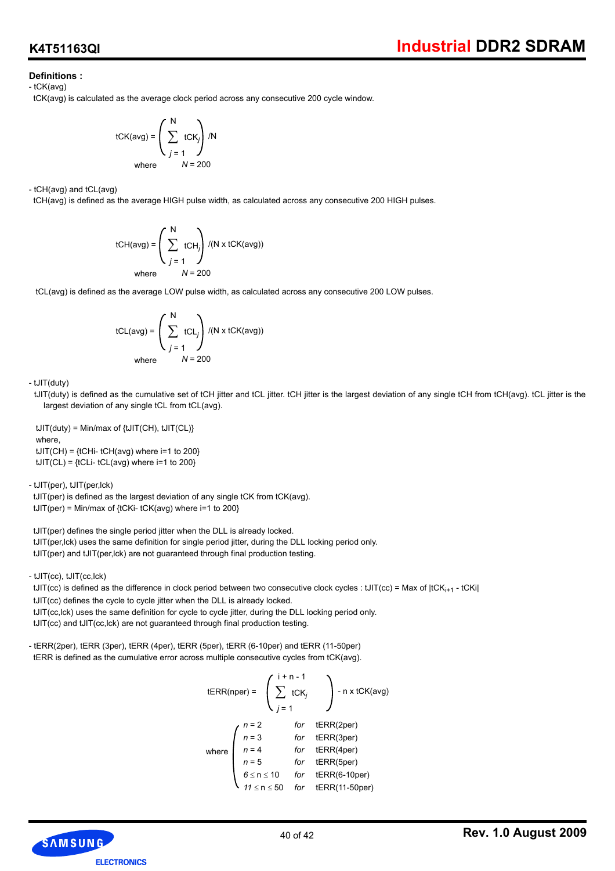## **Definitions :**

- tCK(avg)

tCK(avg) is calculated as the average clock period across any consecutive 200 cycle window.

$$
tCK(avg) = \left(\sum_{j=1}^{N} tCK_j\right) / N
$$
  
where  $N = 200$ 

- tCH(avg) and tCL(avg)

tCH(avg) is defined as the average HIGH pulse width, as calculated across any consecutive 200 HIGH pulses.

tCH(avg) = 
$$
\left(\sum_{j=1}^{N} tCH_{j}\right) / (N \times tCK(avg))
$$
  
where  $N = 200$ 

tCL(avg) is defined as the average LOW pulse width, as calculated across any consecutive 200 LOW pulses.

$$
tCL(avg) = \left(\sum_{j=1}^{N} tCL_j\right) / (N \times tCK(avg))
$$
  
where  $N = 200$ 

- tJIT(duty)

 tJIT(duty) is defined as the cumulative set of tCH jitter and tCL jitter. tCH jitter is the largest deviation of any single tCH from tCH(avg). tCL jitter is the largest deviation of any single tCL from tCL(avg).

 $tJIT(duty) = Min/max of {tJIT(CH), tJIT(CH)}$ where,  $tJIT(CH) = {tCHi- tCH(avg)$  where  $i=1$  to 200}  $tJIT(CL) = {tCLi- tCL(avg)}$  where  $i=1$  to 200}

- tJIT(per), tJIT(per,lck)

 tJIT(per) is defined as the largest deviation of any single tCK from tCK(avg).  $tJIT(per) = Min/max of {tCKi-tCK(avg) where i=1 to 200}$ 

 tJIT(per) defines the single period jitter when the DLL is already locked. tJIT(per,lck) uses the same definition for single period jitter, during the DLL locking period only. tJIT(per) and tJIT(per,lck) are not guaranteed through final production testing.

- tJIT(cc), tJIT(cc,lck)

tJIT(cc) is defined as the difference in clock period between two consecutive clock cycles : tJIT(cc) = Max of  $|tCK_{i+1} - tCKi|$  tJIT(cc) defines the cycle to cycle jitter when the DLL is already locked. tJIT(cc,lck) uses the same definition for cycle to cycle jitter, during the DLL locking period only. tJIT(cc) and tJIT(cc,lck) are not guaranteed through final production testing.

- tERR(2per), tERR (3per), tERR (4per), tERR (5per), tERR (6-10per) and tERR (11-50per) tERR is defined as the cumulative error across multiple consecutive cycles from tCK(avg).

tERR(nper) =

\n
$$
\begin{pmatrix}\n i + n - 1 \\
\sum_{j=1}^{n} tCK_j\n \end{pmatrix}\n - n \times tCK(avg)
$$
\nwhere

\n
$$
\begin{pmatrix}\n n = 2 & \text{for} \quad tERR(2per) \\
n = 3 & \text{for} \quad tERR(3per) \\
n = 4 & \text{for} \quad tERR(4per) \\
n = 5 & \text{for} \quad tERR(5per) \\
6 \leq n \leq 10 & \text{for} \quad tERR(6-10per) \\
11 \leq n \leq 50 & \text{for} \quad tERR(11-50per)\n \end{pmatrix}
$$

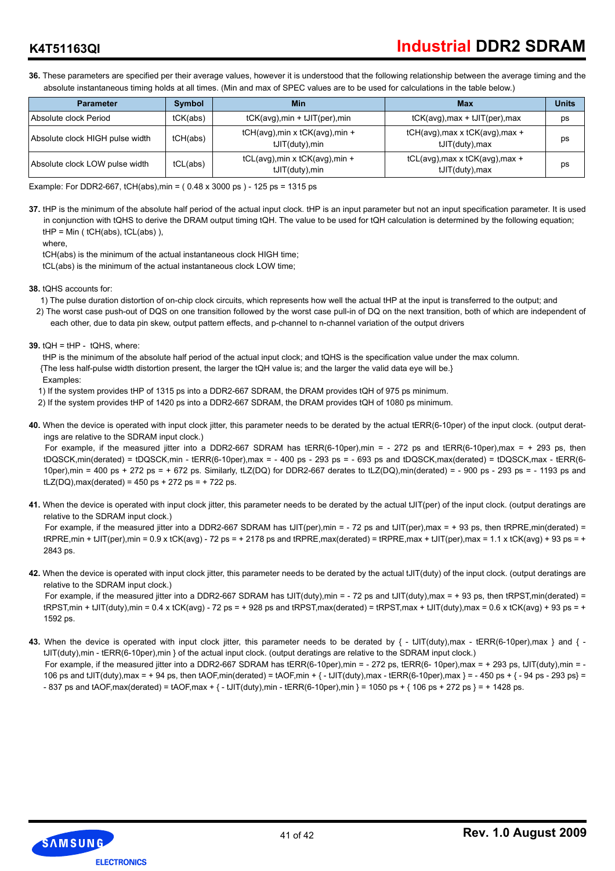## **Industrial DDR2 SDRAM**

## **K4T51163QI**

**36.** These parameters are specified per their average values, however it is understood that the following relationship between the average timing and the absolute instantaneous timing holds at all times. (Min and max of SPEC values are to be used for calculations in the table below.)

| <b>Parameter</b>                | <b>Symbol</b> | <b>Min</b>                                         | <b>Max</b>                                                  | <b>Units</b> |
|---------------------------------|---------------|----------------------------------------------------|-------------------------------------------------------------|--------------|
| Absolute clock Period           | tCK(abs)      | $tCK(\text{avg})$ , min + $tJIT(\text{per})$ , min | $tCK(\text{avg})$ , max + $tJIT(\text{per})$ , max          | ps           |
| Absolute clock HIGH pulse width | tCH(abs)      | tCH(avg), min x tCK(avg), min +<br>tJIT(duty), min | $tCH(avg)$ , max x $tCK(avg)$ , max +<br>tJIT(duty), max    | ps           |
| Absolute clock LOW pulse width  | tCL(abs)      | tCL(avg), min x tCK(avg), min +<br>tJIT(duty), min | $tCL(avg)$ , max x $tCK(avg)$ , max +<br>$tJIT(duty)$ , max | ps           |

Example: For DDR2-667, tCH(abs),min = ( 0.48 x 3000 ps ) - 125 ps = 1315 ps

**37.** tHP is the minimum of the absolute half period of the actual input clock. tHP is an input parameter but not an input specification parameter. It is used in conjunction with tQHS to derive the DRAM output timing tQH. The value to be used for tQH calculation is determined by the following equation; tHP = Min ( tCH(abs), tCL(abs) ),

where,

tCH(abs) is the minimum of the actual instantaneous clock HIGH time;

tCL(abs) is the minimum of the actual instantaneous clock LOW time;

**38.** tQHS accounts for:

- 1) The pulse duration distortion of on-chip clock circuits, which represents how well the actual tHP at the input is transferred to the output; and
- 2) The worst case push-out of DQS on one transition followed by the worst case pull-in of DQ on the next transition, both of which are independent of each other, due to data pin skew, output pattern effects, and p-channel to n-channel variation of the output drivers
- **39.** tQH = tHP tQHS, where:

tHP is the minimum of the absolute half period of the actual input clock; and tQHS is the specification value under the max column. {The less half-pulse width distortion present, the larger the tQH value is; and the larger the valid data eye will be.} Examples:

1) If the system provides tHP of 1315 ps into a DDR2-667 SDRAM, the DRAM provides tQH of 975 ps minimum.

- 2) If the system provides tHP of 1420 ps into a DDR2-667 SDRAM, the DRAM provides tQH of 1080 ps minimum.
- **40.** When the device is operated with input clock jitter, this parameter needs to be derated by the actual tERR(6-10per) of the input clock. (output deratings are relative to the SDRAM input clock.)

For example, if the measured jitter into a DDR2-667 SDRAM has tERR(6-10per),min = - 272 ps and tERR(6-10per),max = + 293 ps, then  $tDQSCK,min(derated) = tDQSCK,min - tERR(6-10per),max = -400 ps - 293 ps = -693 ps and tDQSCK,max(derated) = tDQSCK,max - tERR(6-10 per) ms = -803 ps.$ 10per),min = 400 ps + 272 ps = + 672 ps. Similarly, tLZ(DQ) for DDR2-667 derates to tLZ(DQ),min(derated) = - 900 ps - 293 ps = - 1193 ps and  $tLZ(DQ)$ , max(derated) = 450 ps + 272 ps = + 722 ps.

**41.** When the device is operated with input clock jitter, this parameter needs to be derated by the actual tJIT(per) of the input clock. (output deratings are relative to the SDRAM input clock.)

For example, if the measured jitter into a DDR2-667 SDRAM has tJIT(per),min = - 72 ps and tJIT(per),max = + 93 ps, then tRPRE,min(derated) =  $tRPRE,min + tJIT(per),min = 0.9 \times tCK(avq) - 72 ps = + 2178 ps and tRPRE.max(derated) = tRPRE.max + tJIT(per),max = 1.1 \times tCK(avq) + 93 ps = +$ 2843 ps.

**42.** When the device is operated with input clock jitter, this parameter needs to be derated by the actual tJIT(duty) of the input clock. (output deratings are relative to the SDRAM input clock.)

For example, if the measured jitter into a DDR2-667 SDRAM has tJIT(duty),min = - 72 ps and tJIT(duty),max = + 93 ps, then tRPST,min(derated) =  $t$ RPST,min + tJIT(duty),min = 0.4 x tCK(avg) - 72 ps = + 928 ps and tRPST,max(derated) = tRPST,max + tJIT(duty),max = 0.6 x tCK(avg) + 93 ps = + 1592 ps.

43. When the device is operated with input clock jitter, this parameter needs to be derated by  $\{-t\sqrt{d}u(t)\}$ , max - tERR(6-10per), max } and  $\{-t\sqrt{d}u(t)\}$ tJIT(duty),min - tERR(6-10per),min } of the actual input clock. (output deratings are relative to the SDRAM input clock.) For example, if the measured jitter into a DDR2-667 SDRAM has tERR(6-10per),min = - 272 ps, tERR(6-10per),max = + 293 ps, tJIT(duty),min = -

106 ps and tJIT(duty),max = + 94 ps, then tAOF,min(derated) = tAOF,min +  $\{-$  tJIT(duty),max - tERR(6-10per),max  $\}$  = - 450 ps +  $\{-$  94 ps - 293 ps} = - 837 ps and tAOF, max(derated) = tAOF, max +  $\{-tJIT(\text{duty}),\text{min} - tER(6-10\text{per}),\text{min}\} = 1050 \text{ ps} + \{106 \text{ ps} + 272 \text{ ps} \} = +1428 \text{ ps}$ .